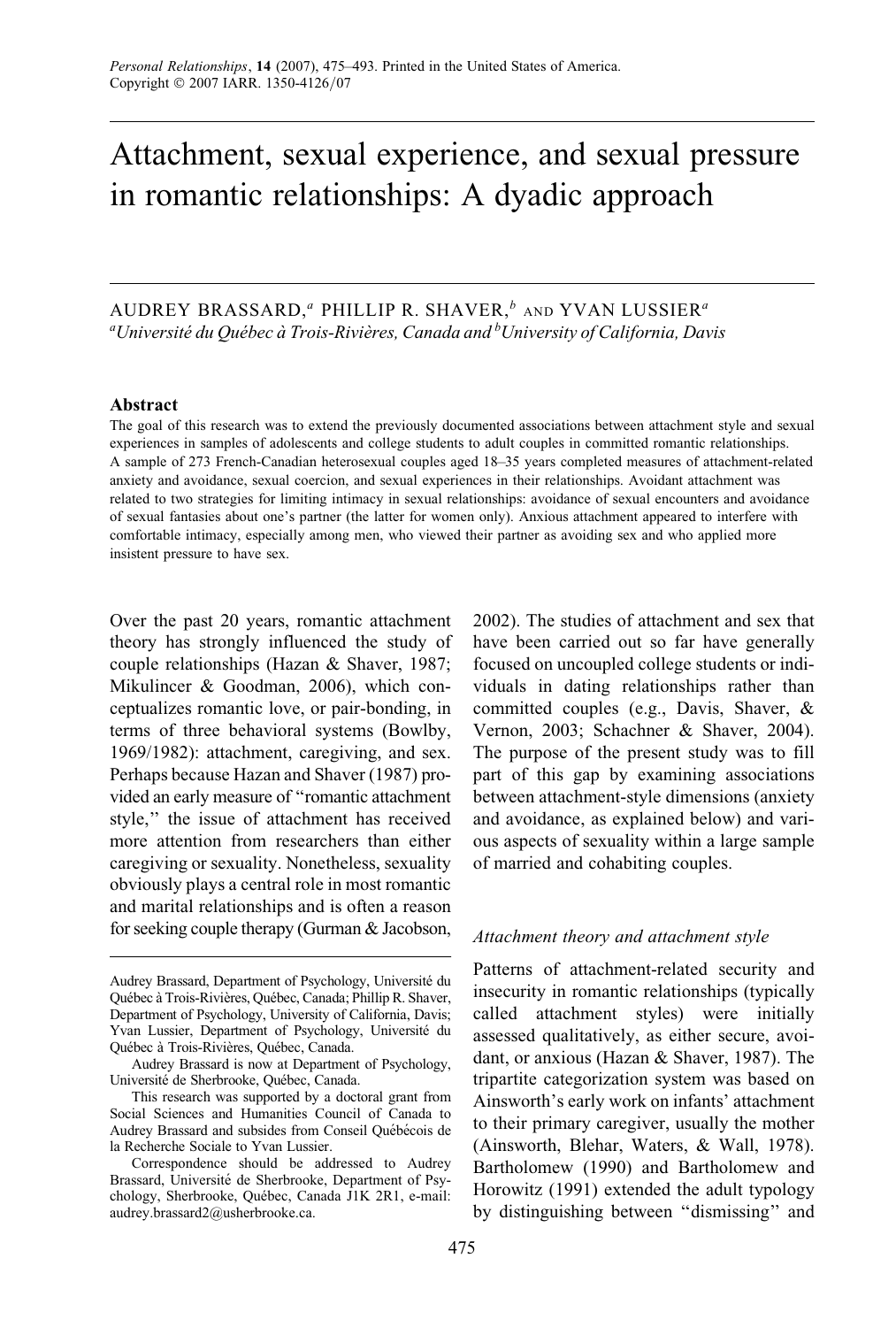# Attachment, sexual experience, and sexual pressure in romantic relationships: A dyadic approach

AUDREY BRASSARD,<sup> $a$ </sup> PHILLIP R. SHAVER, $b$  and YVAN LUSSIER<sup> $a$ </sup>  $\,^a$ Université du Québec à Trois-Rivières, Canada and  $^b$ University of California, Davis

## Abstract

The goal of this research was to extend the previously documented associations between attachment style and sexual experiences in samples of adolescents and college students to adult couples in committed romantic relationships. A sample of 273 French-Canadian heterosexual couples aged 18–35 years completed measures of attachment-related anxiety and avoidance, sexual coercion, and sexual experiences in their relationships. Avoidant attachment was related to two strategies for limiting intimacy in sexual relationships: avoidance of sexual encounters and avoidance of sexual fantasies about one's partner (the latter for women only). Anxious attachment appeared to interfere with comfortable intimacy, especially among men, who viewed their partner as avoiding sex and who applied more insistent pressure to have sex.

Over the past 20 years, romantic attachment theory has strongly influenced the study of couple relationships (Hazan & Shaver, 1987; Mikulincer & Goodman, 2006), which conceptualizes romantic love, or pair-bonding, in terms of three behavioral systems (Bowlby, 1969/1982): attachment, caregiving, and sex. Perhaps because Hazan and Shaver (1987) provided an early measure of ''romantic attachment style,'' the issue of attachment has received more attention from researchers than either caregiving or sexuality. Nonetheless, sexuality obviously plays a central role in most romantic and marital relationships and is often a reason for seeking couple therapy (Gurman & Jacobson, 2002). The studies of attachment and sex that have been carried out so far have generally focused on uncoupled college students or individuals in dating relationships rather than committed couples (e.g., Davis, Shaver, & Vernon, 2003; Schachner & Shaver, 2004). The purpose of the present study was to fill part of this gap by examining associations between attachment-style dimensions (anxiety and avoidance, as explained below) and various aspects of sexuality within a large sample of married and cohabiting couples.

## Attachment theory and attachment style

Patterns of attachment-related security and insecurity in romantic relationships (typically called attachment styles) were initially assessed qualitatively, as either secure, avoidant, or anxious (Hazan & Shaver, 1987). The tripartite categorization system was based on Ainsworth's early work on infants' attachment to their primary caregiver, usually the mother (Ainsworth, Blehar, Waters, & Wall, 1978). Bartholomew (1990) and Bartholomew and Horowitz (1991) extended the adult typology by distinguishing between ''dismissing'' and

Audrey Brassard, Department of Psychology, Université du Québec à Trois-Rivières, Québec, Canada; Phillip R. Shaver, Department of Psychology, University of California, Davis; Yvan Lussier, Department of Psychology, Université du Québec à Trois-Rivières, Québec, Canada.

Audrey Brassard is now at Department of Psychology, Université de Sherbrooke, Québec, Canada.

This research was supported by a doctoral grant from Social Sciences and Humanities Council of Canada to Audrey Brassard and subsides from Conseil Québécois de la Recherche Sociale to Yvan Lussier.

Correspondence should be addressed to Audrey Brassard, Université de Sherbrooke, Department of Psychology, Sherbrooke, Québec, Canada J1K 2R1, e-mail: audrey.brassard2@usherbrooke.ca.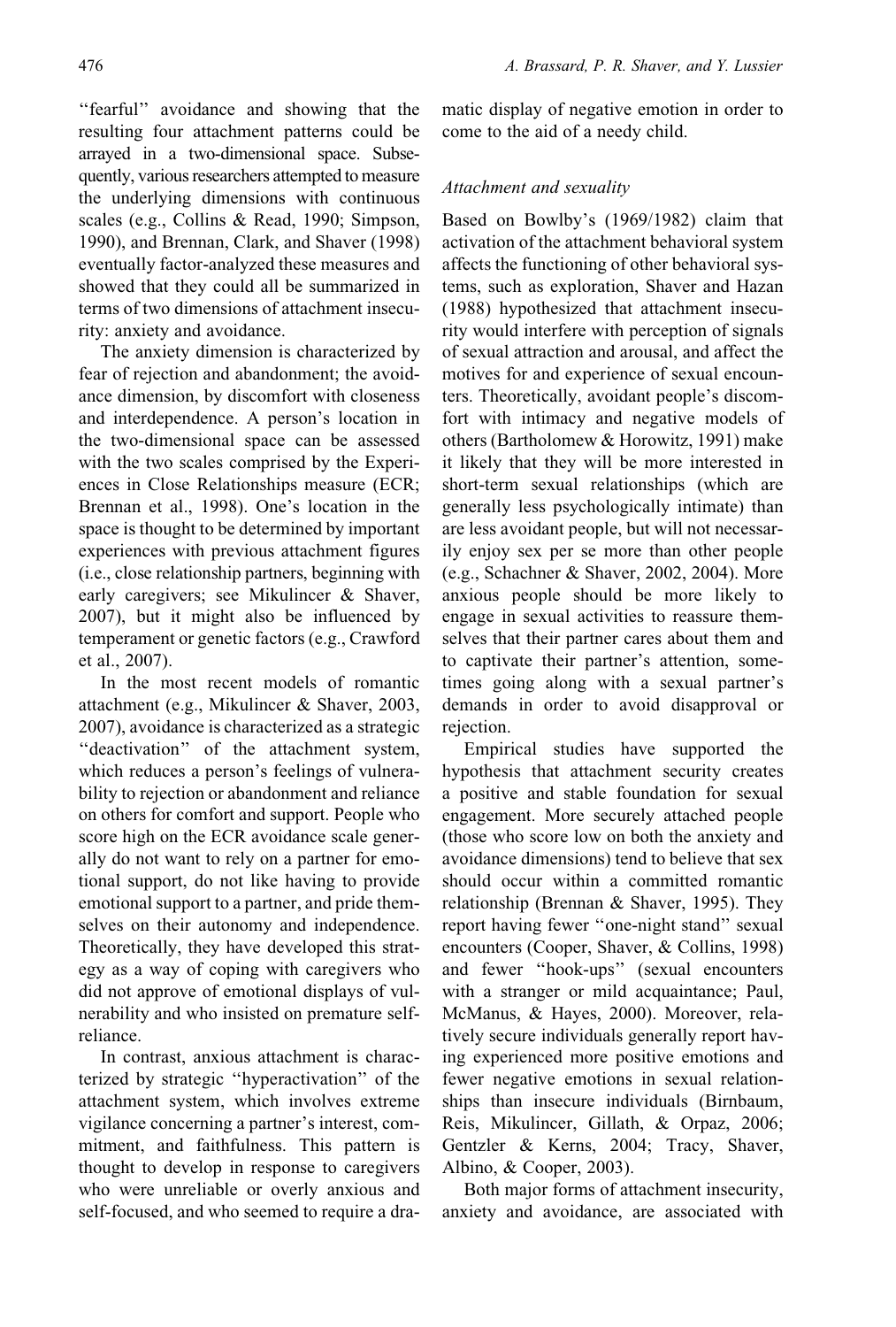''fearful'' avoidance and showing that the resulting four attachment patterns could be arrayed in a two-dimensional space. Subsequently, various researchers attempted to measure the underlying dimensions with continuous scales (e.g., Collins & Read, 1990; Simpson, 1990), and Brennan, Clark, and Shaver (1998) eventually factor-analyzed these measures and showed that they could all be summarized in terms of two dimensions of attachment insecurity: anxiety and avoidance.

The anxiety dimension is characterized by fear of rejection and abandonment; the avoidance dimension, by discomfort with closeness and interdependence. A person's location in the two-dimensional space can be assessed with the two scales comprised by the Experiences in Close Relationships measure (ECR; Brennan et al., 1998). One's location in the space is thought to be determined by important experiences with previous attachment figures (i.e., close relationship partners, beginning with early caregivers; see Mikulincer & Shaver, 2007), but it might also be influenced by temperament or genetic factors (e.g., Crawford et al., 2007).

In the most recent models of romantic attachment (e.g., Mikulincer & Shaver, 2003, 2007), avoidance is characterized as a strategic "deactivation" of the attachment system, which reduces a person's feelings of vulnerability to rejection or abandonment and reliance on others for comfort and support. People who score high on the ECR avoidance scale generally do not want to rely on a partner for emotional support, do not like having to provide emotional support to a partner, and pride themselves on their autonomy and independence. Theoretically, they have developed this strategy as a way of coping with caregivers who did not approve of emotional displays of vulnerability and who insisted on premature selfreliance.

In contrast, anxious attachment is characterized by strategic ''hyperactivation'' of the attachment system, which involves extreme vigilance concerning a partner's interest, commitment, and faithfulness. This pattern is thought to develop in response to caregivers who were unreliable or overly anxious and self-focused, and who seemed to require a dramatic display of negative emotion in order to come to the aid of a needy child.

## Attachment and sexuality

Based on Bowlby's (1969/1982) claim that activation of the attachment behavioral system affects the functioning of other behavioral systems, such as exploration, Shaver and Hazan (1988) hypothesized that attachment insecurity would interfere with perception of signals of sexual attraction and arousal, and affect the motives for and experience of sexual encounters. Theoretically, avoidant people's discomfort with intimacy and negative models of others (Bartholomew & Horowitz, 1991) make it likely that they will be more interested in short-term sexual relationships (which are generally less psychologically intimate) than are less avoidant people, but will not necessarily enjoy sex per se more than other people (e.g., Schachner & Shaver, 2002, 2004). More anxious people should be more likely to engage in sexual activities to reassure themselves that their partner cares about them and to captivate their partner's attention, sometimes going along with a sexual partner's demands in order to avoid disapproval or rejection.

Empirical studies have supported the hypothesis that attachment security creates a positive and stable foundation for sexual engagement. More securely attached people (those who score low on both the anxiety and avoidance dimensions) tend to believe that sex should occur within a committed romantic relationship (Brennan & Shaver, 1995). They report having fewer ''one-night stand'' sexual encounters (Cooper, Shaver, & Collins, 1998) and fewer ''hook-ups'' (sexual encounters with a stranger or mild acquaintance; Paul, McManus, & Hayes, 2000). Moreover, relatively secure individuals generally report having experienced more positive emotions and fewer negative emotions in sexual relationships than insecure individuals (Birnbaum, Reis, Mikulincer, Gillath, & Orpaz, 2006; Gentzler & Kerns, 2004; Tracy, Shaver, Albino, & Cooper, 2003).

Both major forms of attachment insecurity, anxiety and avoidance, are associated with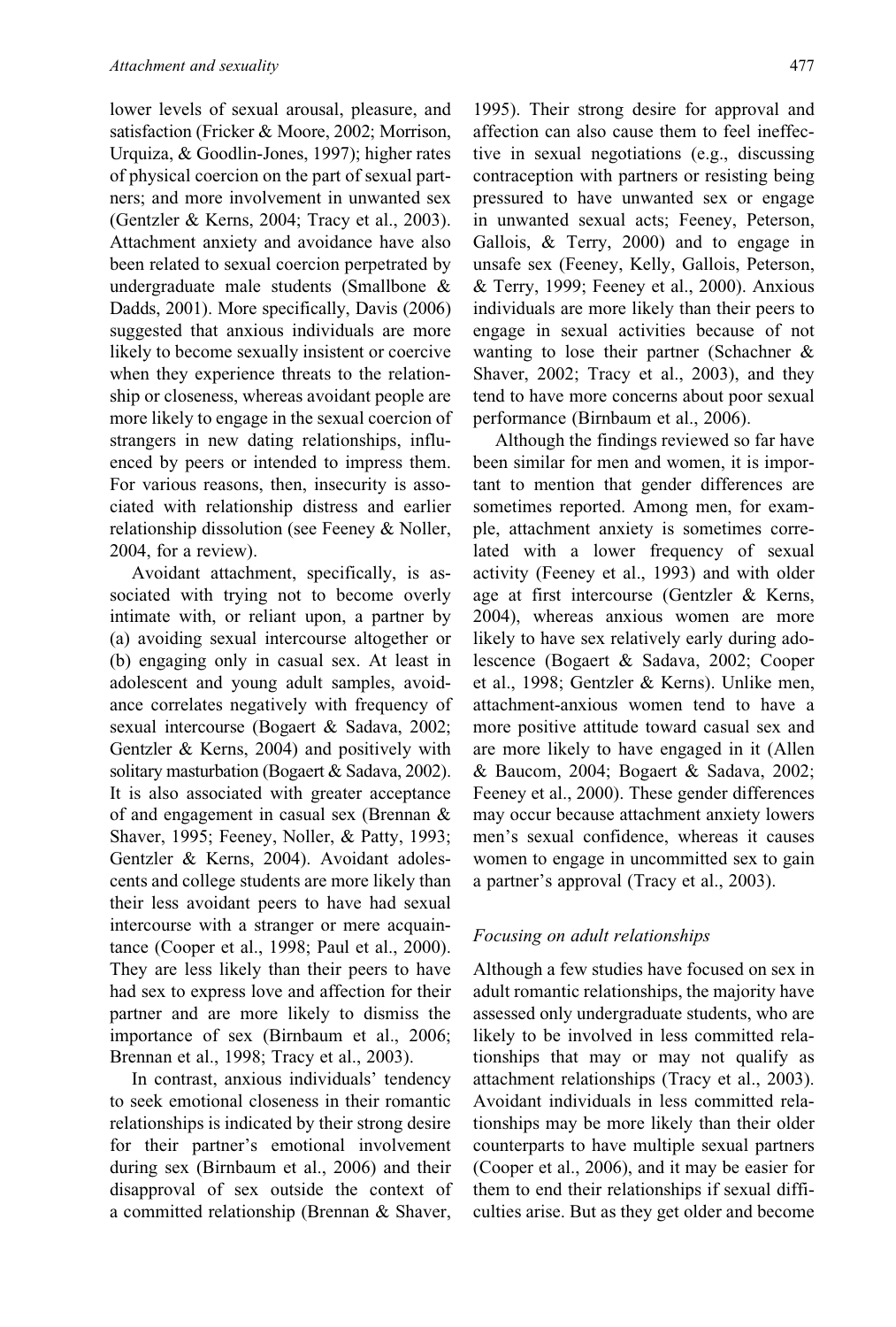lower levels of sexual arousal, pleasure, and satisfaction (Fricker & Moore, 2002; Morrison, Urquiza, & Goodlin-Jones, 1997); higher rates of physical coercion on the part of sexual partners; and more involvement in unwanted sex (Gentzler & Kerns, 2004; Tracy et al., 2003). Attachment anxiety and avoidance have also been related to sexual coercion perpetrated by undergraduate male students (Smallbone & Dadds, 2001). More specifically, Davis (2006) suggested that anxious individuals are more likely to become sexually insistent or coercive when they experience threats to the relationship or closeness, whereas avoidant people are more likely to engage in the sexual coercion of strangers in new dating relationships, influenced by peers or intended to impress them. For various reasons, then, insecurity is associated with relationship distress and earlier relationship dissolution (see Feeney & Noller, 2004, for a review).

Avoidant attachment, specifically, is associated with trying not to become overly intimate with, or reliant upon, a partner by (a) avoiding sexual intercourse altogether or (b) engaging only in casual sex. At least in adolescent and young adult samples, avoidance correlates negatively with frequency of sexual intercourse (Bogaert & Sadava, 2002; Gentzler & Kerns, 2004) and positively with solitary masturbation (Bogaert & Sadava, 2002). It is also associated with greater acceptance of and engagement in casual sex (Brennan & Shaver, 1995; Feeney, Noller, & Patty, 1993; Gentzler & Kerns, 2004). Avoidant adolescents and college students are more likely than their less avoidant peers to have had sexual intercourse with a stranger or mere acquaintance (Cooper et al., 1998; Paul et al., 2000). They are less likely than their peers to have had sex to express love and affection for their partner and are more likely to dismiss the importance of sex (Birnbaum et al., 2006; Brennan et al., 1998; Tracy et al., 2003).

In contrast, anxious individuals' tendency to seek emotional closeness in their romantic relationships is indicated by their strong desire for their partner's emotional involvement during sex (Birnbaum et al., 2006) and their disapproval of sex outside the context of a committed relationship (Brennan & Shaver,

1995). Their strong desire for approval and affection can also cause them to feel ineffective in sexual negotiations (e.g., discussing contraception with partners or resisting being pressured to have unwanted sex or engage in unwanted sexual acts; Feeney, Peterson, Gallois, & Terry, 2000) and to engage in unsafe sex (Feeney, Kelly, Gallois, Peterson, & Terry, 1999; Feeney et al., 2000). Anxious individuals are more likely than their peers to engage in sexual activities because of not wanting to lose their partner (Schachner & Shaver, 2002; Tracy et al., 2003), and they tend to have more concerns about poor sexual performance (Birnbaum et al., 2006).

Although the findings reviewed so far have been similar for men and women, it is important to mention that gender differences are sometimes reported. Among men, for example, attachment anxiety is sometimes correlated with a lower frequency of sexual activity (Feeney et al., 1993) and with older age at first intercourse (Gentzler & Kerns, 2004), whereas anxious women are more likely to have sex relatively early during adolescence (Bogaert & Sadava, 2002; Cooper et al., 1998; Gentzler & Kerns). Unlike men, attachment-anxious women tend to have a more positive attitude toward casual sex and are more likely to have engaged in it (Allen & Baucom, 2004; Bogaert & Sadava, 2002; Feeney et al., 2000). These gender differences may occur because attachment anxiety lowers men's sexual confidence, whereas it causes women to engage in uncommitted sex to gain a partner's approval (Tracy et al., 2003).

## Focusing on adult relationships

Although a few studies have focused on sex in adult romantic relationships, the majority have assessed only undergraduate students, who are likely to be involved in less committed relationships that may or may not qualify as attachment relationships (Tracy et al., 2003). Avoidant individuals in less committed relationships may be more likely than their older counterparts to have multiple sexual partners (Cooper et al., 2006), and it may be easier for them to end their relationships if sexual difficulties arise. But as they get older and become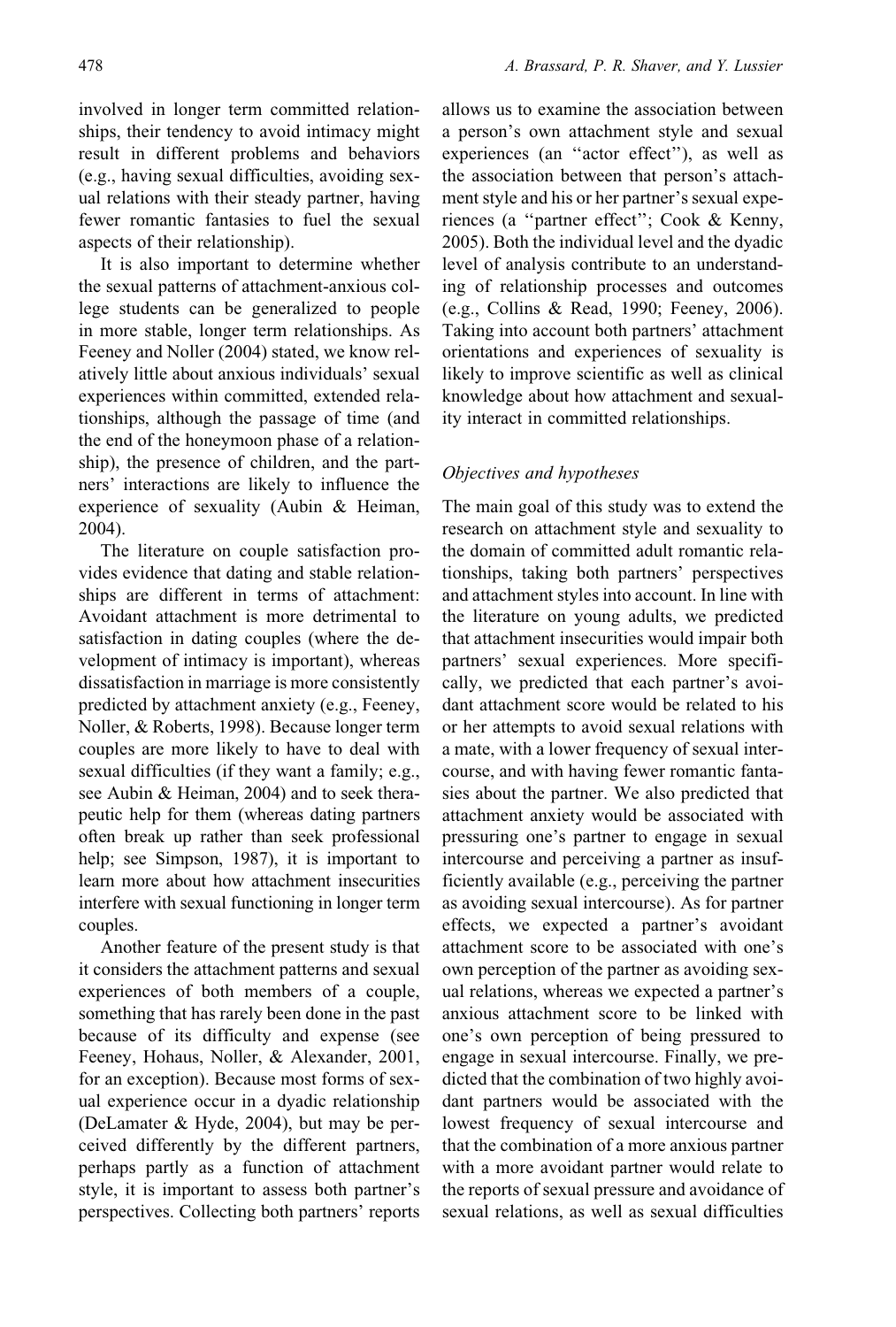involved in longer term committed relationships, their tendency to avoid intimacy might result in different problems and behaviors (e.g., having sexual difficulties, avoiding sexual relations with their steady partner, having fewer romantic fantasies to fuel the sexual aspects of their relationship).

It is also important to determine whether the sexual patterns of attachment-anxious college students can be generalized to people in more stable, longer term relationships. As Feeney and Noller (2004) stated, we know relatively little about anxious individuals' sexual experiences within committed, extended relationships, although the passage of time (and the end of the honeymoon phase of a relationship), the presence of children, and the partners' interactions are likely to influence the experience of sexuality (Aubin & Heiman, 2004).

The literature on couple satisfaction provides evidence that dating and stable relationships are different in terms of attachment: Avoidant attachment is more detrimental to satisfaction in dating couples (where the development of intimacy is important), whereas dissatisfaction in marriage is more consistently predicted by attachment anxiety (e.g., Feeney, Noller, & Roberts, 1998). Because longer term couples are more likely to have to deal with sexual difficulties (if they want a family; e.g., see Aubin & Heiman, 2004) and to seek therapeutic help for them (whereas dating partners often break up rather than seek professional help; see Simpson, 1987), it is important to learn more about how attachment insecurities interfere with sexual functioning in longer term couples.

Another feature of the present study is that it considers the attachment patterns and sexual experiences of both members of a couple, something that has rarely been done in the past because of its difficulty and expense (see Feeney, Hohaus, Noller, & Alexander, 2001, for an exception). Because most forms of sexual experience occur in a dyadic relationship (DeLamater & Hyde, 2004), but may be perceived differently by the different partners, perhaps partly as a function of attachment style, it is important to assess both partner's perspectives. Collecting both partners' reports allows us to examine the association between a person's own attachment style and sexual experiences (an ''actor effect''), as well as the association between that person's attachment style and his or her partner's sexual experiences (a ''partner effect''; Cook & Kenny, 2005). Both the individual level and the dyadic level of analysis contribute to an understanding of relationship processes and outcomes (e.g., Collins & Read, 1990; Feeney, 2006). Taking into account both partners' attachment orientations and experiences of sexuality is likely to improve scientific as well as clinical knowledge about how attachment and sexuality interact in committed relationships.

# Objectives and hypotheses

The main goal of this study was to extend the research on attachment style and sexuality to the domain of committed adult romantic relationships, taking both partners' perspectives and attachment styles into account. In line with the literature on young adults, we predicted that attachment insecurities would impair both partners' sexual experiences. More specifically, we predicted that each partner's avoidant attachment score would be related to his or her attempts to avoid sexual relations with a mate, with a lower frequency of sexual intercourse, and with having fewer romantic fantasies about the partner. We also predicted that attachment anxiety would be associated with pressuring one's partner to engage in sexual intercourse and perceiving a partner as insufficiently available (e.g., perceiving the partner as avoiding sexual intercourse). As for partner effects, we expected a partner's avoidant attachment score to be associated with one's own perception of the partner as avoiding sexual relations, whereas we expected a partner's anxious attachment score to be linked with one's own perception of being pressured to engage in sexual intercourse. Finally, we predicted that the combination of two highly avoidant partners would be associated with the lowest frequency of sexual intercourse and that the combination of a more anxious partner with a more avoidant partner would relate to the reports of sexual pressure and avoidance of sexual relations, as well as sexual difficulties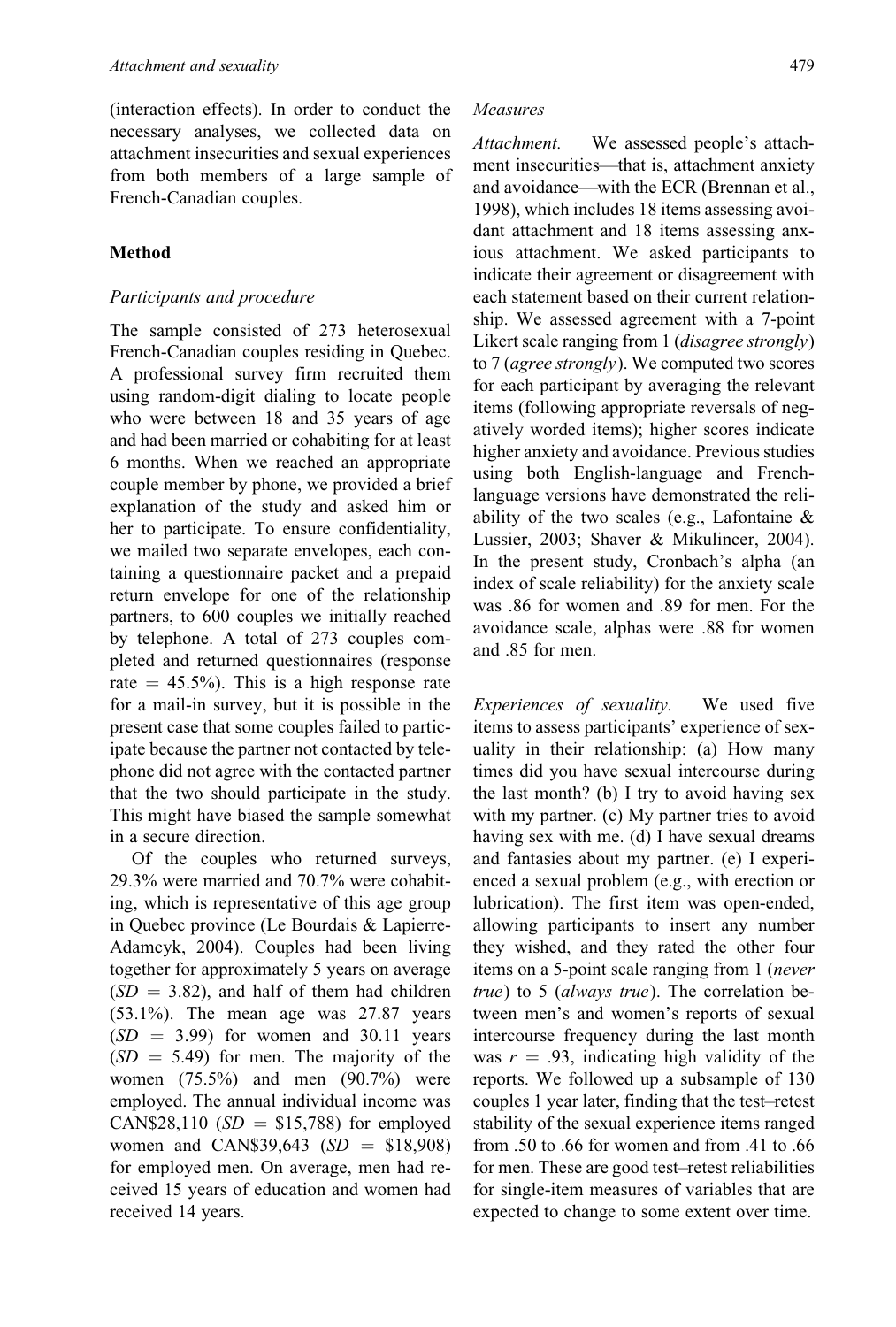(interaction effects). In order to conduct the necessary analyses, we collected data on attachment insecurities and sexual experiences from both members of a large sample of French-Canadian couples.

# Method

# Participants and procedure

The sample consisted of 273 heterosexual French-Canadian couples residing in Quebec. A professional survey firm recruited them using random-digit dialing to locate people who were between 18 and 35 years of age and had been married or cohabiting for at least 6 months. When we reached an appropriate couple member by phone, we provided a brief explanation of the study and asked him or her to participate. To ensure confidentiality, we mailed two separate envelopes, each containing a questionnaire packet and a prepaid return envelope for one of the relationship partners, to 600 couples we initially reached by telephone. A total of 273 couples completed and returned questionnaires (response rate  $= 45.5\%$ ). This is a high response rate for a mail-in survey, but it is possible in the present case that some couples failed to participate because the partner not contacted by telephone did not agree with the contacted partner that the two should participate in the study. This might have biased the sample somewhat in a secure direction.

Of the couples who returned surveys, 29.3% were married and 70.7% were cohabiting, which is representative of this age group in Quebec province (Le Bourdais & Lapierre-Adamcyk, 2004). Couples had been living together for approximately 5 years on average  $(SD = 3.82)$ , and half of them had children (53.1%). The mean age was 27.87 years  $(SD = 3.99)$  for women and 30.11 years  $(SD = 5.49)$  for men. The majority of the women (75.5%) and men (90.7%) were employed. The annual individual income was CAN\$28,110 ( $SD = $15,788$ ) for employed women and CAN\$39,643  $(SD = $18,908)$ for employed men. On average, men had received 15 years of education and women had received 14 years.

#### Measures

Attachment. We assessed people's attachment insecurities—that is, attachment anxiety and avoidance—with the ECR (Brennan et al., 1998), which includes 18 items assessing avoidant attachment and 18 items assessing anxious attachment. We asked participants to indicate their agreement or disagreement with each statement based on their current relationship. We assessed agreement with a 7-point Likert scale ranging from 1 (*disagree strongly*) to 7 (agree strongly). We computed two scores for each participant by averaging the relevant items (following appropriate reversals of negatively worded items); higher scores indicate higher anxiety and avoidance. Previous studies using both English-language and Frenchlanguage versions have demonstrated the reliability of the two scales (e.g., Lafontaine & Lussier, 2003; Shaver & Mikulincer, 2004). In the present study, Cronbach's alpha (an index of scale reliability) for the anxiety scale was .86 for women and .89 for men. For the avoidance scale, alphas were .88 for women and .85 for men.

Experiences of sexuality. We used five items to assess participants' experience of sexuality in their relationship: (a) How many times did you have sexual intercourse during the last month? (b) I try to avoid having sex with my partner. (c) My partner tries to avoid having sex with me. (d) I have sexual dreams and fantasies about my partner. (e) I experienced a sexual problem (e.g., with erection or lubrication). The first item was open-ended, allowing participants to insert any number they wished, and they rated the other four items on a 5-point scale ranging from 1 (never true) to 5 (always true). The correlation between men's and women's reports of sexual intercourse frequency during the last month was  $r = .93$ , indicating high validity of the reports. We followed up a subsample of 130 couples 1 year later, finding that the test–retest stability of the sexual experience items ranged from .50 to .66 for women and from .41 to .66 for men. These are good test–retest reliabilities for single-item measures of variables that are expected to change to some extent over time.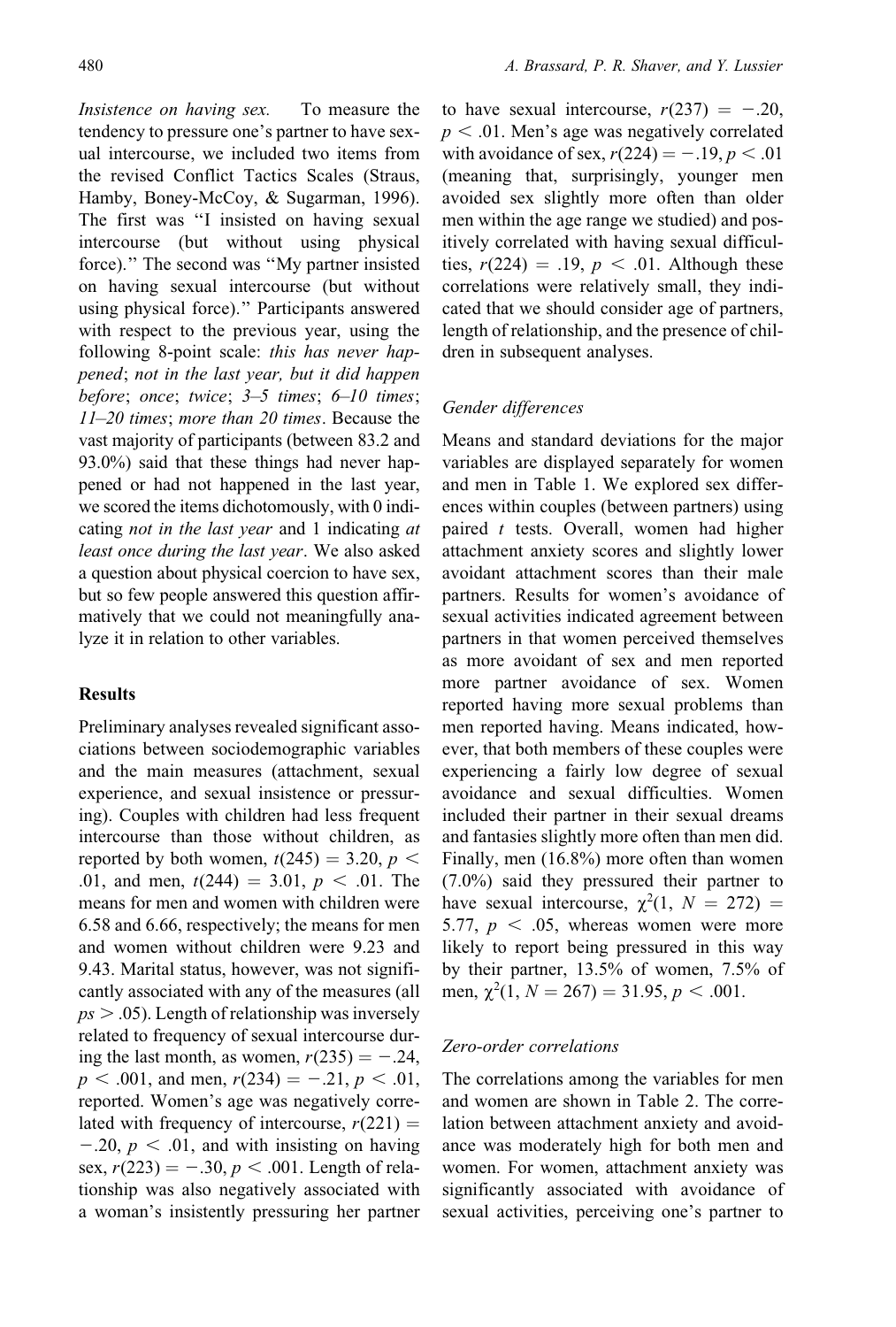Insistence on having sex. To measure the tendency to pressure one's partner to have sexual intercourse, we included two items from the revised Conflict Tactics Scales (Straus, Hamby, Boney-McCoy, & Sugarman, 1996). The first was ''I insisted on having sexual intercourse (but without using physical force).'' The second was ''My partner insisted on having sexual intercourse (but without using physical force).'' Participants answered with respect to the previous year, using the following 8-point scale: this has never happened; not in the last year, but it did happen before; once; twice; 3–5 times; 6–10 times; 11–20 times; more than 20 times. Because the vast majority of participants (between 83.2 and 93.0%) said that these things had never happened or had not happened in the last year, we scored the items dichotomously, with 0 indicating not in the last year and 1 indicating at least once during the last year. We also asked a question about physical coercion to have sex, but so few people answered this question affirmatively that we could not meaningfully analyze it in relation to other variables.

# Results

Preliminary analyses revealed significant associations between sociodemographic variables and the main measures (attachment, sexual experience, and sexual insistence or pressuring). Couples with children had less frequent intercourse than those without children, as reported by both women,  $t(245) = 3.20, p <$ .01, and men,  $t(244) = 3.01$ ,  $p < .01$ . The means for men and women with children were 6.58 and 6.66, respectively; the means for men and women without children were 9.23 and 9.43. Marital status, however, was not significantly associated with any of the measures (all  $ps > .05$ ). Length of relationship was inversely related to frequency of sexual intercourse during the last month, as women,  $r(235) = -.24$ ,  $p < .001$ , and men,  $r(234) = -.21, p < .01$ , reported. Women's age was negatively correlated with frequency of intercourse,  $r(221) =$  $-0.20, p < .01$ , and with insisting on having sex,  $r(223) = -.30, p < .001$ . Length of relationship was also negatively associated with a woman's insistently pressuring her partner

to have sexual intercourse,  $r(237) = -.20$ ,  $p < .01$ . Men's age was negatively correlated with avoidance of sex,  $r(224) = -.19, p < .01$ (meaning that, surprisingly, younger men avoided sex slightly more often than older men within the age range we studied) and positively correlated with having sexual difficulties,  $r(224) = .19$ ,  $p < .01$ . Although these correlations were relatively small, they indicated that we should consider age of partners, length of relationship, and the presence of children in subsequent analyses.

## Gender differences

Means and standard deviations for the major variables are displayed separately for women and men in Table 1. We explored sex differences within couples (between partners) using paired  $t$  tests. Overall, women had higher attachment anxiety scores and slightly lower avoidant attachment scores than their male partners. Results for women's avoidance of sexual activities indicated agreement between partners in that women perceived themselves as more avoidant of sex and men reported more partner avoidance of sex. Women reported having more sexual problems than men reported having. Means indicated, however, that both members of these couples were experiencing a fairly low degree of sexual avoidance and sexual difficulties. Women included their partner in their sexual dreams and fantasies slightly more often than men did. Finally, men (16.8%) more often than women (7.0%) said they pressured their partner to have sexual intercourse,  $\chi^2(1, N = 272) =$ 5.77,  $p < .05$ , whereas women were more likely to report being pressured in this way by their partner, 13.5% of women, 7.5% of men,  $\chi^2(1, N = 267) = 31.95, p < .001$ .

## Zero-order correlations

The correlations among the variables for men and women are shown in Table 2. The correlation between attachment anxiety and avoidance was moderately high for both men and women. For women, attachment anxiety was significantly associated with avoidance of sexual activities, perceiving one's partner to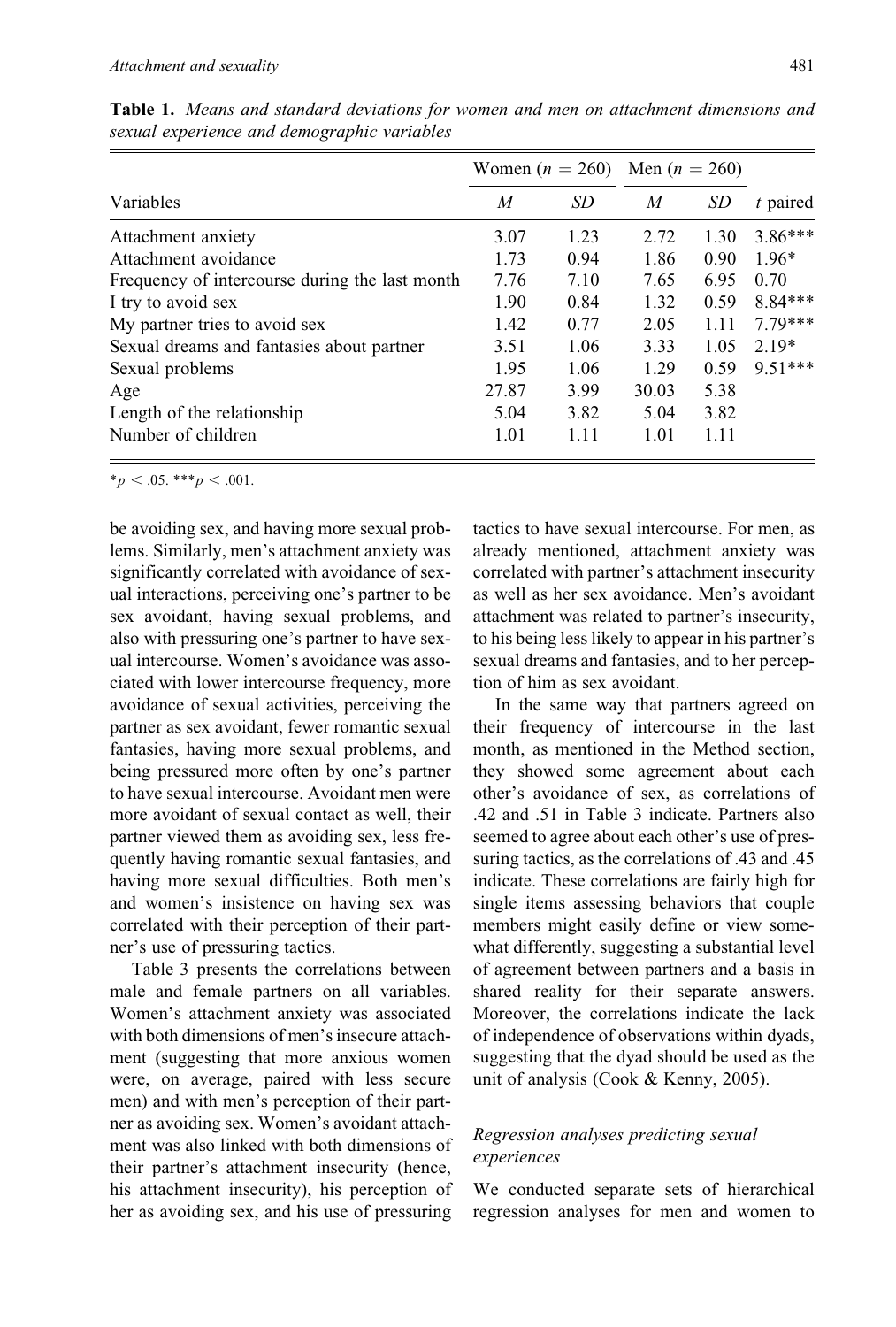|                                                |       | Women $(n = 260)$ Men $(n = 260)$ |       |      |            |
|------------------------------------------------|-------|-----------------------------------|-------|------|------------|
| Variables                                      | M     | <i>SD</i>                         | M     | SD   | $t$ paired |
| Attachment anxiety                             | 3.07  | 1.23                              | 2.72  | 1.30 | $3.86***$  |
| Attachment avoidance                           | 1.73  | 0.94                              | 1.86  | 0.90 | $1.96*$    |
| Frequency of intercourse during the last month | 7.76  | 7.10                              | 7.65  | 6.95 | 0.70       |
| I try to avoid sex                             | 1.90  | 0.84                              | 1.32  | 0.59 | 8.84***    |
| My partner tries to avoid sex                  | 1.42  | 0.77                              | 2.05  | 1.11 | $7.79***$  |
| Sexual dreams and fantasies about partner      | 3.51  | 1.06                              | 3.33  | 1.05 | $2.19*$    |
| Sexual problems                                | 1.95  | 1.06                              | 1.29  | 0.59 | $9.51***$  |
| Age                                            | 27.87 | 3.99                              | 30.03 | 5.38 |            |
| Length of the relationship                     | 5.04  | 3.82                              | 5.04  | 3.82 |            |
| Number of children                             | 1.01  | 1.11                              | 1.01  | 1.11 |            |

Table 1. Means and standard deviations for women and men on attachment dimensions and sexual experience and demographic variables

 $*_p$  < .05. \*\*\*p < .001.

be avoiding sex, and having more sexual problems. Similarly, men's attachment anxiety was significantly correlated with avoidance of sexual interactions, perceiving one's partner to be sex avoidant, having sexual problems, and also with pressuring one's partner to have sexual intercourse. Women's avoidance was associated with lower intercourse frequency, more avoidance of sexual activities, perceiving the partner as sex avoidant, fewer romantic sexual fantasies, having more sexual problems, and being pressured more often by one's partner to have sexual intercourse. Avoidant men were more avoidant of sexual contact as well, their partner viewed them as avoiding sex, less frequently having romantic sexual fantasies, and having more sexual difficulties. Both men's and women's insistence on having sex was correlated with their perception of their partner's use of pressuring tactics.

Table 3 presents the correlations between male and female partners on all variables. Women's attachment anxiety was associated with both dimensions of men's insecure attachment (suggesting that more anxious women were, on average, paired with less secure men) and with men's perception of their partner as avoiding sex. Women's avoidant attachment was also linked with both dimensions of their partner's attachment insecurity (hence, his attachment insecurity), his perception of her as avoiding sex, and his use of pressuring tactics to have sexual intercourse. For men, as already mentioned, attachment anxiety was correlated with partner's attachment insecurity as well as her sex avoidance. Men's avoidant attachment was related to partner's insecurity, to his being less likely to appear in his partner's sexual dreams and fantasies, and to her perception of him as sex avoidant.

In the same way that partners agreed on their frequency of intercourse in the last month, as mentioned in the Method section, they showed some agreement about each other's avoidance of sex, as correlations of .42 and .51 in Table 3 indicate. Partners also seemed to agree about each other's use of pressuring tactics, as the correlations of .43 and .45 indicate. These correlations are fairly high for single items assessing behaviors that couple members might easily define or view somewhat differently, suggesting a substantial level of agreement between partners and a basis in shared reality for their separate answers. Moreover, the correlations indicate the lack of independence of observations within dyads, suggesting that the dyad should be used as the unit of analysis (Cook & Kenny, 2005).

# Regression analyses predicting sexual experiences

We conducted separate sets of hierarchical regression analyses for men and women to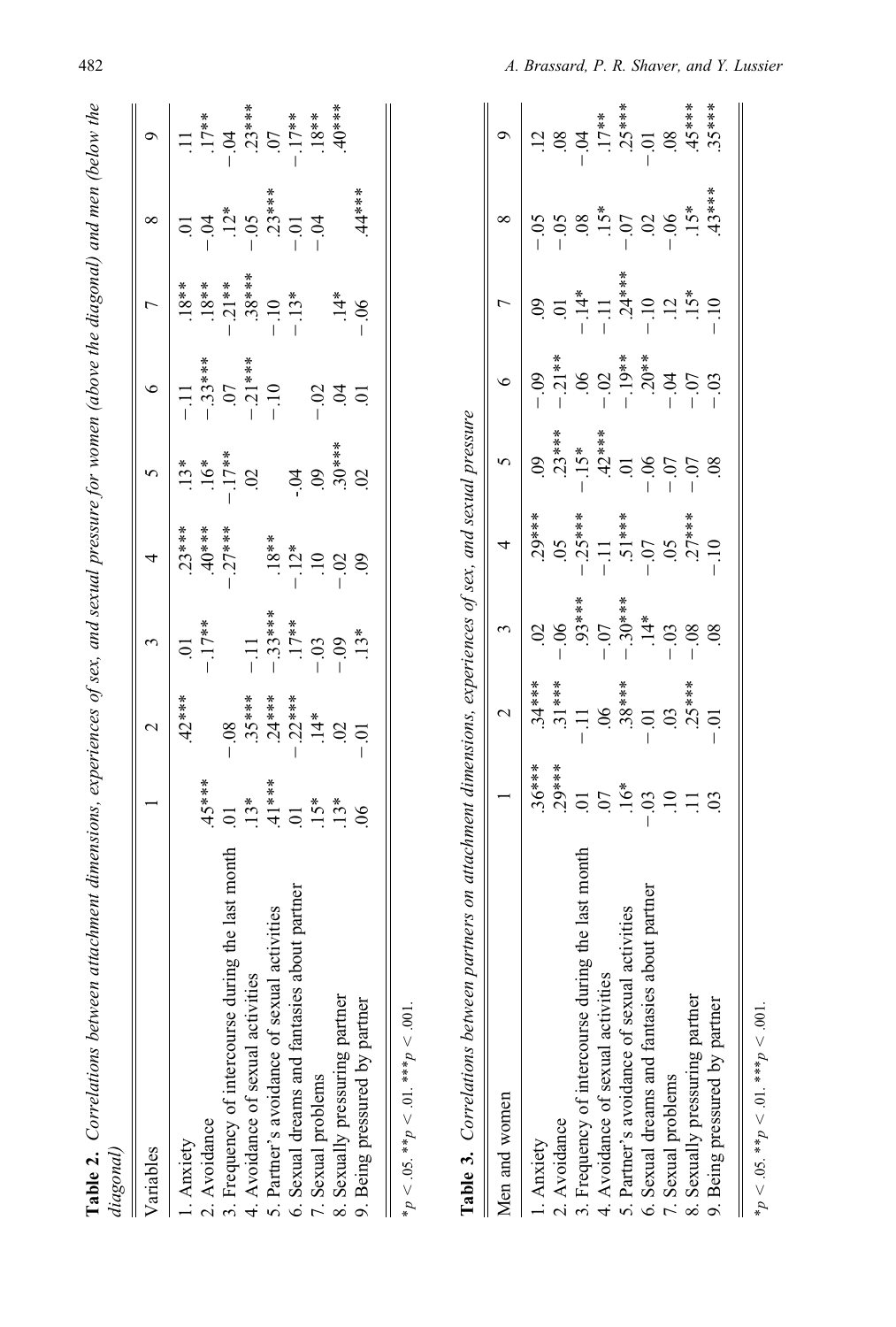| Table 2. Correlations between attachment dimensions, experiences of sex, and sexual pressure for women (above the diagonal) and men (below the<br>diagonal) |                                                   |                                                    |                           |                                                 |                                     |                               |                                                    |                                                                               |                                                   |
|-------------------------------------------------------------------------------------------------------------------------------------------------------------|---------------------------------------------------|----------------------------------------------------|---------------------------|-------------------------------------------------|-------------------------------------|-------------------------------|----------------------------------------------------|-------------------------------------------------------------------------------|---------------------------------------------------|
| Variables                                                                                                                                                   |                                                   |                                                    |                           |                                                 |                                     |                               |                                                    |                                                                               |                                                   |
| 1. Anxiety                                                                                                                                                  |                                                   | $42***$                                            | $\overline{0}$            | $.23***$                                        |                                     | $-11$                         | $.18***$                                           |                                                                               |                                                   |
| 2. Avoidance                                                                                                                                                | $45***$                                           |                                                    | $-.17***$                 | $40***$                                         |                                     |                               |                                                    |                                                                               |                                                   |
| last month<br>3. Frequency of intercourse during the                                                                                                        | $\overline{0}$                                    |                                                    |                           | $-27***$                                        | $13*$<br>$-16*$<br>$-17**$<br>$-02$ | $-33***$<br>$-07$<br>$-21***$ |                                                    |                                                                               |                                                   |
| 4. Avoidance of sexual activities                                                                                                                           | $.13*$                                            | $-0.08$<br>35***                                   |                           |                                                 |                                     |                               |                                                    |                                                                               |                                                   |
| Les<br>5. Partner's avoidance of sexual activiti                                                                                                            | $41***$<br>$01$<br>$15*$<br>$13*$<br>$13*$<br>.06 |                                                    | $-11$<br>$-33***$         |                                                 |                                     | $-10$                         | $-21$<br>$-21$<br>$-38$<br>$-10$<br>$-13$<br>$-13$ | $-04$<br>$-12$ <sup>*</sup><br>$-05$<br>$-03$ <sup>**</sup><br>$-01$<br>$-04$ | $-17**$<br>$-04$<br>$-23****$<br>$-07$<br>$-17**$ |
| 6. Sexual dreams and fantasies about partner                                                                                                                |                                                   |                                                    |                           |                                                 | $\ddot{9}$                          |                               |                                                    |                                                                               |                                                   |
| 7. Sexual problems                                                                                                                                          |                                                   |                                                    |                           |                                                 |                                     | $-0.2$                        |                                                    |                                                                               | $.18***$                                          |
| 8. Sexually pressuring partner                                                                                                                              |                                                   | $-24$<br>$-22$<br>$+32$<br>$-14$<br>$-10$<br>$-01$ | $-17**$<br>$-03$<br>$-09$ | $18**$<br>$-12*$<br>$-10$<br>$-0.02$<br>$-0.09$ | $.30***$<br>$.02$                   | S.                            |                                                    |                                                                               | $40***$                                           |
| 9. Being pressured by partner                                                                                                                               |                                                   |                                                    | $.13*$                    |                                                 |                                     | $\overline{0}$                | $-14*$<br>$-15*$                                   | $44**$                                                                        |                                                   |
| * $p < .05$ . ** $p < .01$ . *** $p < .001$                                                                                                                 |                                                   |                                                    |                           |                                                 |                                     |                               |                                                    |                                                                               |                                                   |

 $*_{p} < .05.$   $*_{p} < .01.$   $*_{p} < .001.$ 

Table 3. Correlations between partners on attachment dimensions, experiences of sex, and sexual pressure Table 3. Correlations between partners on attachment dimensions, experiences of sex, and sexual pressure

| Men and women                                          |                            |                                                                                                            |                                                                             |                                                                                          |                                                                                                                                                                                           |                                                                            |                                                                                        |                                                                                                                                                                                                              |                                                                                                   |
|--------------------------------------------------------|----------------------------|------------------------------------------------------------------------------------------------------------|-----------------------------------------------------------------------------|------------------------------------------------------------------------------------------|-------------------------------------------------------------------------------------------------------------------------------------------------------------------------------------------|----------------------------------------------------------------------------|----------------------------------------------------------------------------------------|--------------------------------------------------------------------------------------------------------------------------------------------------------------------------------------------------------------|---------------------------------------------------------------------------------------------------|
| 1. Anxiety                                             |                            |                                                                                                            |                                                                             |                                                                                          |                                                                                                                                                                                           |                                                                            |                                                                                        |                                                                                                                                                                                                              |                                                                                                   |
| 2. Avoidance                                           | $36***$<br>$29***$<br>$01$ |                                                                                                            |                                                                             |                                                                                          |                                                                                                                                                                                           |                                                                            |                                                                                        |                                                                                                                                                                                                              |                                                                                                   |
| ust mont.<br>3. Frequency of intercourse during the la |                            |                                                                                                            |                                                                             |                                                                                          |                                                                                                                                                                                           |                                                                            |                                                                                        |                                                                                                                                                                                                              |                                                                                                   |
| 4. Avoidance of sexual activities                      |                            |                                                                                                            |                                                                             |                                                                                          |                                                                                                                                                                                           |                                                                            |                                                                                        |                                                                                                                                                                                                              |                                                                                                   |
| 5. Partner's avoidance of sexual activities            | $.16*$                     | $34***$<br>$31***$<br>$31***$<br>$30***$<br>$30***$<br>$38***$<br>$38***$<br>$300--$<br>$300--$<br>$300--$ | $-102$<br>$-106$<br>$-107$<br>$-107$<br>$-14$<br>$-103$<br>$-108$<br>$-108$ | $729$ ***<br>$-75$ ***<br>$-75$ ***<br>$-11$ ***<br>$-67$<br>$-77$ ***<br>$-77$<br>$-77$ | $-39$<br>$-15$<br>$-15$<br>$-15$<br>$-15$<br>$-15$<br>$-15$<br>$-15$<br>$-15$<br>$-15$<br>$-15$<br>$-15$<br>$-15$<br>$-15$<br>$-15$<br>$-15$<br>$-15$<br>$-15$<br>$-15$<br>$-15$<br>$-15$ | $-0.9$<br>$-21**$<br>$-0.6$<br>$-0.02$<br>$-1.9**$<br>$-1.20**$<br>$-0.04$ | $-14$<br>$-14$<br>$-14$<br>$-14$<br>$-14$<br>$-14$<br>$-16$<br>$-15$<br>$-15$<br>$-15$ | $\begin{array}{r} 1.11 & -1.12 & -1.14 \\ -1.13 & -1.14 & -1.14 \\ -1.14 & -1.14 & -1.14 \\ -1.15 & -1.14 & -1.14 \\ -1.15 & -1.15 & -1.14 \\ -1.15 & -1.15 & -1.14 \\ -1.15 & -1.15 & -1.14 \\ \end{array}$ | $-12$<br>$-04$<br>$-17**$<br>$-15***$<br>$-15***$<br>$-15***$<br>$-15***$<br>$-15***$<br>$-15***$ |
| 6. Sexual dreams and fantasies about partner           | .03                        |                                                                                                            |                                                                             |                                                                                          |                                                                                                                                                                                           |                                                                            |                                                                                        |                                                                                                                                                                                                              |                                                                                                   |
| 7. Sexual problems                                     |                            |                                                                                                            |                                                                             |                                                                                          |                                                                                                                                                                                           |                                                                            |                                                                                        |                                                                                                                                                                                                              |                                                                                                   |
| 8. Sexually pressuring partner                         |                            |                                                                                                            |                                                                             |                                                                                          |                                                                                                                                                                                           |                                                                            |                                                                                        |                                                                                                                                                                                                              |                                                                                                   |
| 9. Being pressured by partner                          | $\overline{0}$             |                                                                                                            |                                                                             |                                                                                          |                                                                                                                                                                                           | 50,00                                                                      |                                                                                        |                                                                                                                                                                                                              |                                                                                                   |

 $*_{p} < .05.$   $*_{p} < .01.$   $*_{**}$   $> 0.001.$ 

\* $p < .05$ . \*\* $p < .01$ . \*\* $p < .001$ .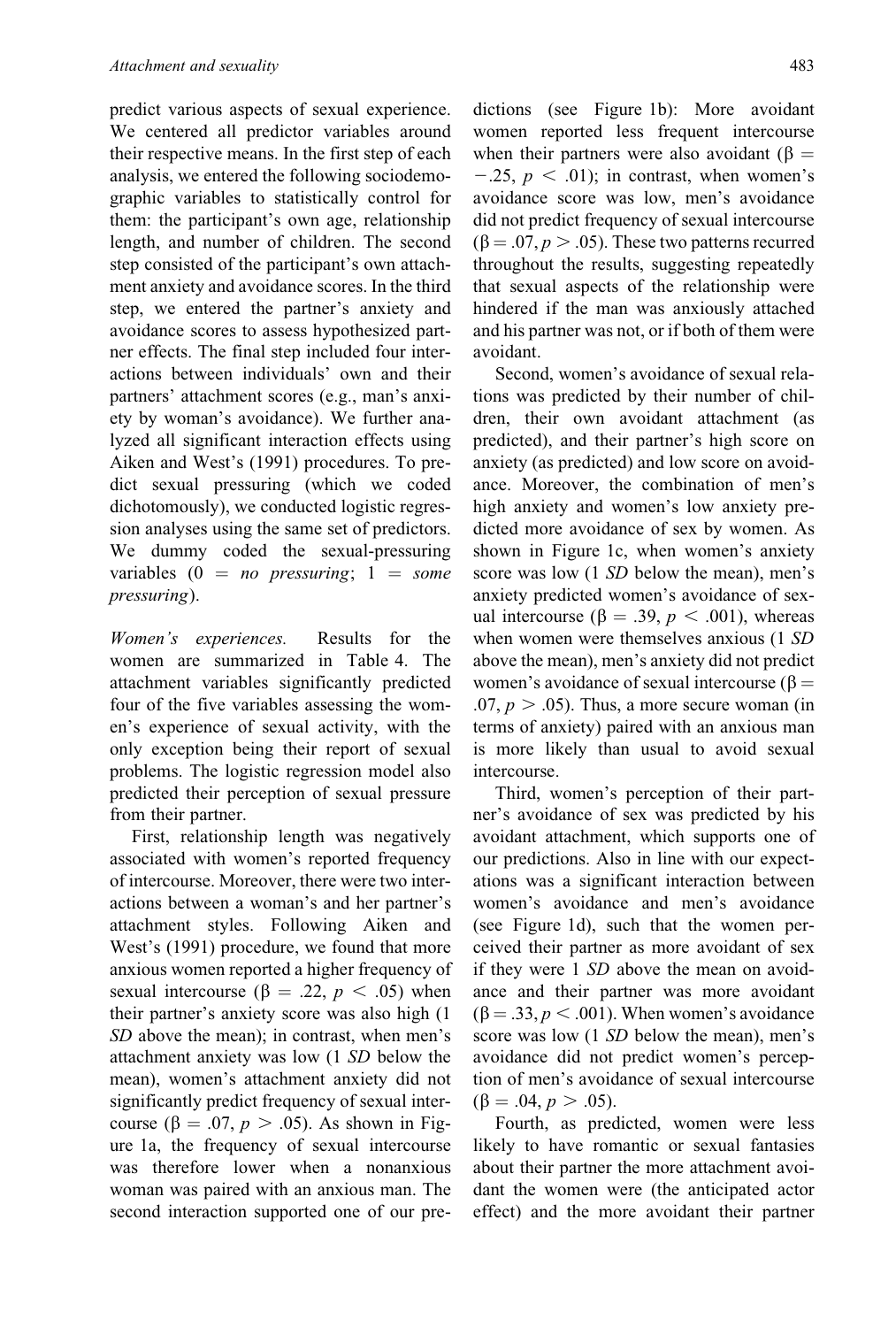predict various aspects of sexual experience. We centered all predictor variables around their respective means. In the first step of each analysis, we entered the following sociodemographic variables to statistically control for them: the participant's own age, relationship length, and number of children. The second step consisted of the participant's own attachment anxiety and avoidance scores. In the third step, we entered the partner's anxiety and avoidance scores to assess hypothesized partner effects. The final step included four interactions between individuals' own and their partners' attachment scores (e.g., man's anxiety by woman's avoidance). We further analyzed all significant interaction effects using Aiken and West's (1991) procedures. To predict sexual pressuring (which we coded dichotomously), we conducted logistic regression analyses using the same set of predictors. We dummy coded the sexual-pressuring variables (0 = *no* pressuring; 1 = some pressuring).

Women's experiences. Results for the women are summarized in Table 4. The attachment variables significantly predicted four of the five variables assessing the women's experience of sexual activity, with the only exception being their report of sexual problems. The logistic regression model also predicted their perception of sexual pressure from their partner.

First, relationship length was negatively associated with women's reported frequency of intercourse. Moreover, there were two interactions between a woman's and her partner's attachment styles. Following Aiken and West's (1991) procedure, we found that more anxious women reported a higher frequency of sexual intercourse ( $\beta = .22$ ,  $p < .05$ ) when their partner's anxiety score was also high (1 SD above the mean); in contrast, when men's attachment anxiety was low (1 SD below the mean), women's attachment anxiety did not significantly predict frequency of sexual intercourse ( $\beta = .07$ ,  $p > .05$ ). As shown in Figure 1a, the frequency of sexual intercourse was therefore lower when a nonanxious woman was paired with an anxious man. The second interaction supported one of our predictions (see Figure 1b): More avoidant women reported less frequent intercourse when their partners were also avoidant ( $\beta =$  $-.25, p \le .01$ ; in contrast, when women's avoidance score was low, men's avoidance did not predict frequency of sexual intercourse  $(\beta = .07, p > .05)$ . These two patterns recurred throughout the results, suggesting repeatedly that sexual aspects of the relationship were hindered if the man was anxiously attached and his partner was not, or if both of them were avoidant.

Second, women's avoidance of sexual relations was predicted by their number of children, their own avoidant attachment (as predicted), and their partner's high score on anxiety (as predicted) and low score on avoidance. Moreover, the combination of men's high anxiety and women's low anxiety predicted more avoidance of sex by women. As shown in Figure 1c, when women's anxiety score was low (1 SD below the mean), men's anxiety predicted women's avoidance of sexual intercourse ( $\beta = .39$ ,  $p < .001$ ), whereas when women were themselves anxious (1 SD above the mean), men's anxiety did not predict women's avoidance of sexual intercourse ( $\beta$  = .07,  $p > .05$ ). Thus, a more secure woman (in terms of anxiety) paired with an anxious man is more likely than usual to avoid sexual intercourse.

Third, women's perception of their partner's avoidance of sex was predicted by his avoidant attachment, which supports one of our predictions. Also in line with our expectations was a significant interaction between women's avoidance and men's avoidance (see Figure 1d), such that the women perceived their partner as more avoidant of sex if they were 1 SD above the mean on avoidance and their partner was more avoidant  $(\beta = .33, p < .001)$ . When women's avoidance score was low (1 SD below the mean), men's avoidance did not predict women's perception of men's avoidance of sexual intercourse  $(\beta = .04, p > .05).$ 

Fourth, as predicted, women were less likely to have romantic or sexual fantasies about their partner the more attachment avoidant the women were (the anticipated actor effect) and the more avoidant their partner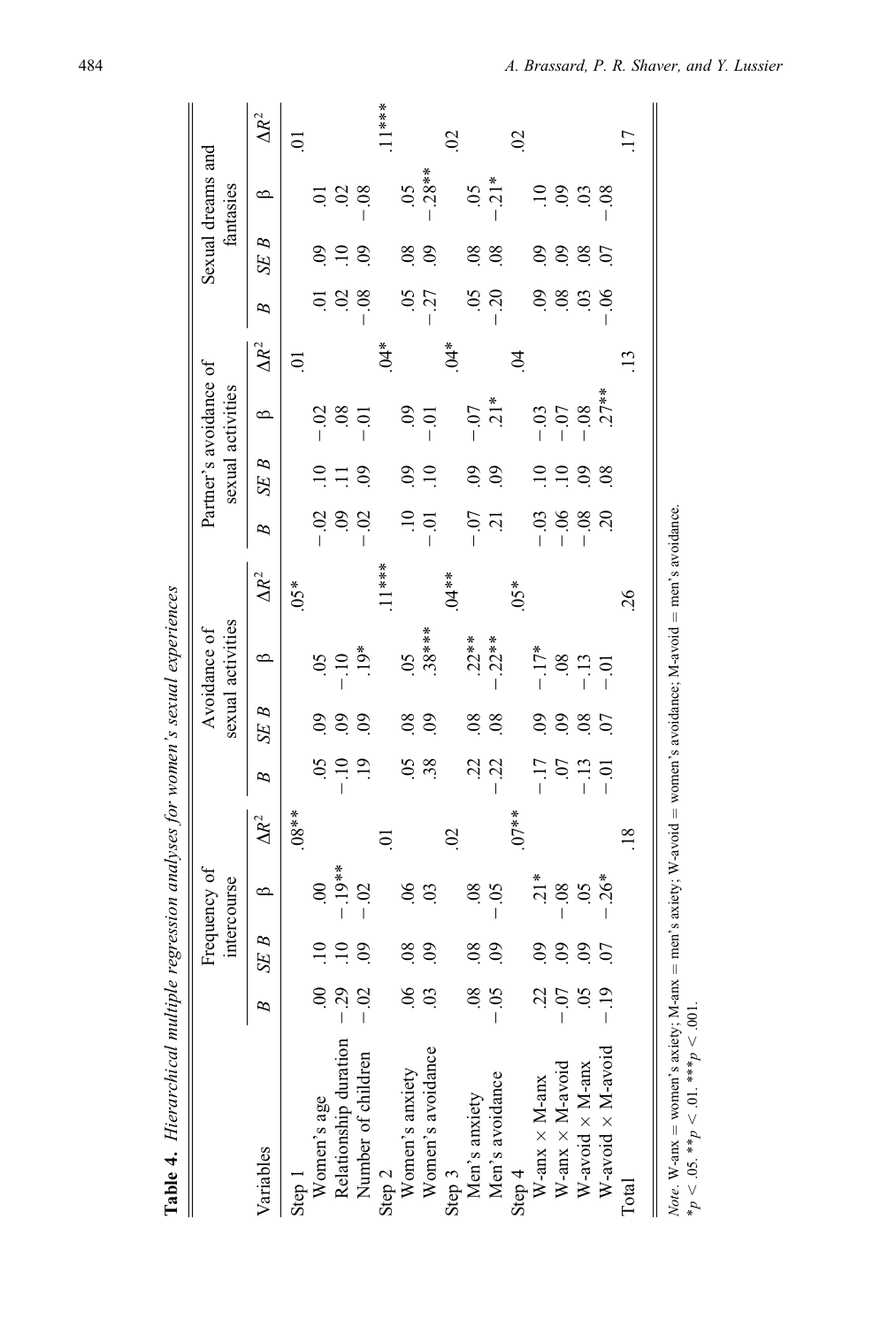|                                                     |                |                 |                                  | ŕ,             |                            |                     |                                   |              |                |                   |                                             |                      |                     |                     |                                |                 |
|-----------------------------------------------------|----------------|-----------------|----------------------------------|----------------|----------------------------|---------------------|-----------------------------------|--------------|----------------|-------------------|---------------------------------------------|----------------------|---------------------|---------------------|--------------------------------|-----------------|
|                                                     |                |                 | Frequency of<br>intercourse      |                |                            |                     | sexual activities<br>Avoidance of |              |                |                   | Partner's avoidance of<br>sexual activities |                      |                     |                     | Sexual dreams and<br>fantasies |                 |
| Variables                                           | B              | SEB             | $\circ$                          | $\Delta R^2$   | B                          | B<br>SE <sub></sub> | $\circ$                           | $\Delta R^2$ | B              | B<br>SE           | $\circ$                                     | $\Delta R^2$         | B                   | B<br>SE <sub></sub> | $\circ$                        | $\Delta R^2$    |
| Step 1                                              |                |                 |                                  | $.88**$        |                            |                     |                                   | $05*$        |                |                   |                                             | $\overline{0}$       |                     |                     |                                | $\overline{C}$  |
| Women's age                                         | $\odot$        | $\Xi$           | $\overline{0}$                   |                |                            | $\mathcal{S}$       | $50$ .                            |              | $-.02$         | $\Xi$             | $-0.02$                                     |                      | $\overline{C}$      | $\odot$             | $\ddot{\circ}$                 |                 |
| Relationship duration                               | $-29$          | $\overline{10}$ | $.19***$                         |                | $-10$                      | 60                  |                                   |              | 60.            | $\Xi$             | $\overline{0}$                              |                      | $\ddot{\mathrm{S}}$ | $\overline{10}$     | $\ddot{\mathrm{S}}$            |                 |
| Number of children                                  | $-0.2$         | $\overline{6}$  | $-.02$                           |                |                            | $\infty$            | $19*$                             |              | $-.02$         | $\infty$          | $\overline{0}$ .                            |                      | .08                 | $\infty$            | 08                             |                 |
| Step 2                                              |                |                 |                                  | $\Xi$          |                            |                     |                                   | $.11***$     |                |                   |                                             | $34*$                |                     |                     |                                | $.11***$        |
| Women's anxiety                                     | 96             | $\overline{0}$  | $\mathcal{S}$                    |                | $\widetilde{\mathcal{S}}$  | $\overline{0}$      | $\overline{0}$ .                  |              | $\Xi$          | $\ddot{\text{o}}$ | 0 <sup>0</sup>                              |                      | SO.                 | 80.                 | 60                             |                 |
| Women's avoidance                                   | $\overline{0}$ | $\odot$         | $\ddot{0}$                       |                | 38                         | $\Theta$            | $.38***$                          |              | $-0$           | $\overline{10}$   | $-0.1$                                      |                      | $\overline{27}$     | $\mathcal{S}$       | $.28**$                        |                 |
| Step 3                                              |                |                 |                                  | $\overline{0}$ |                            |                     |                                   | $.04**$      |                |                   |                                             | $\stackrel{*}{\sim}$ |                     |                     |                                | $\approx$       |
| Men's anxiety                                       |                | $\overline{0}$  | $\frac{8}{3}$                    |                |                            | $80^{\circ}$        | $.22***$                          |              | $-0.7$         |                   | $-0.7$                                      |                      |                     |                     | 65                             |                 |
| Men's avoidance                                     | $60 - 80$      | $\odot$         | $\overline{5}$<br>$\overline{1}$ |                | 23<br>23<br>$\overline{1}$ | $\infty$            | $.22***$                          |              | $\overline{c}$ | 99                | $21*$                                       |                      | $\frac{5}{20}$      | $\frac{80}{8}$      | $21*$                          |                 |
| Step 4                                              |                |                 |                                  | $.07**$        |                            |                     |                                   | $05*$        |                |                   |                                             | $\tilde{q}$          |                     |                     |                                | $\mathcal{S}$   |
| $W\text{-}\mathrm{an}x\times M\text{-}\mathrm{an}x$ | 22             | $\odot$         | $21*$                            |                |                            | $\mathbf{S}$        | $-17*$                            |              | $-0.3$         | $\overline{10}$   | $-0.3$                                      |                      |                     | $\ddot{\circ}$      | $\Xi$                          |                 |
| $W$ -anx $\times$ M-avoid                           | $-0.7$         | $\ddot{\circ}$  | $08$<br>I                        |                | $\overline{0}$             | $\overline{0}$      | $08$                              |              | $-0.6$         | $\overline{10}$   | $-0.7$                                      |                      | $\frac{80}{60}$     | 60.                 | 60                             |                 |
| $W\text{-avoid} \times M\text{-} \text{an} x$       | 50.            | $\Theta$        | $\overline{50}$                  |                | $\frac{13}{2}$             | $\overline{08}$     | $\ddot{.}$                        |              | $-0.8$         | $\ddot{6}$        | $-0.8$                                      |                      | $\ddot{\Omega}$     | .08                 | 03                             |                 |
| $W$ -avoid $\times$ M-avoid                         | $-19$          |                 | $26*$<br>I                       |                | $-0$                       | $\Omega$            | $\ddot{\rm o}$                    |              | $\ddot{c}$     | $\infty$          | $27**$                                      |                      | 06                  | $\overline{0}$      | $\overline{0}$                 |                 |
| Total                                               |                |                 |                                  | $\frac{8}{18}$ |                            |                     |                                   | .26          |                |                   |                                             | $\ddot{13}$          |                     |                     |                                | $\overline{17}$ |
|                                                     |                |                 |                                  |                |                            |                     |                                   |              |                |                   |                                             |                      |                     |                     |                                |                 |

Table 4. Hierarchical multiple regression analyses for women's sexual experiences Table 4. Hierarchical multiple regression analyses for women's sexual experiences

Note: W-anx = women's axiety; M-anx = men's axiety; W-avoid = women's avoidance; M-avoid = men's avoidance.<br>\* $p < .05$ . \*\* $p < .01$ . \*\*\* $p < .001$ . Note. W-anx = women's axiety; M-anx = men's axiety; W-avoid = women's avoidance; M-avoid = men's avoidance.  $*_{p} < .05.$   $*_{p} < .01.$   $*_{p} < .001.$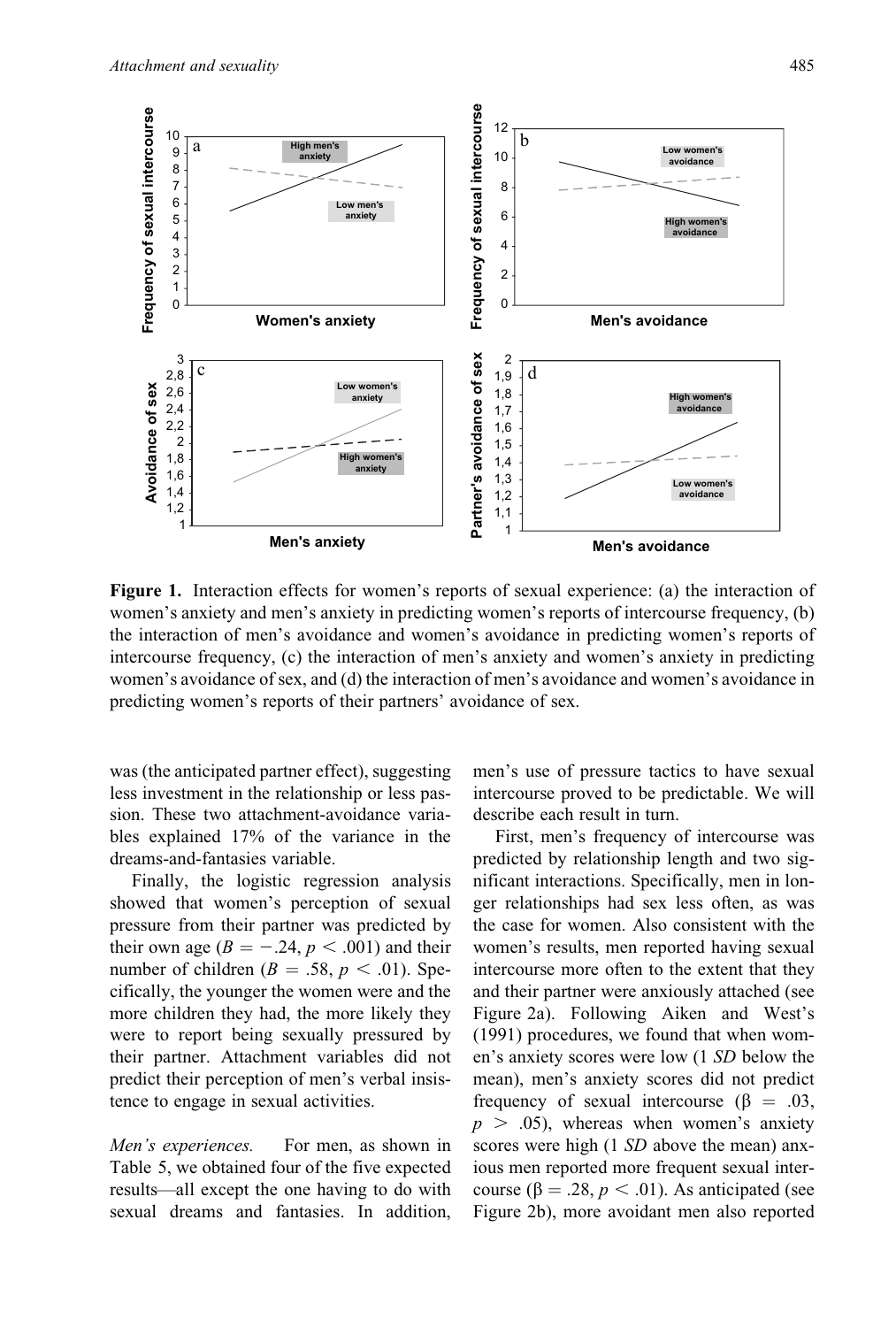

Figure 1. Interaction effects for women's reports of sexual experience: (a) the interaction of women's anxiety and men's anxiety in predicting women's reports of intercourse frequency, (b) the interaction of men's avoidance and women's avoidance in predicting women's reports of intercourse frequency, (c) the interaction of men's anxiety and women's anxiety in predicting women's avoidance of sex, and (d) the interaction of men's avoidance and women's avoidance in predicting women's reports of their partners' avoidance of sex.

was (the anticipated partner effect), suggesting less investment in the relationship or less passion. These two attachment-avoidance variables explained 17% of the variance in the dreams-and-fantasies variable.

Finally, the logistic regression analysis showed that women's perception of sexual pressure from their partner was predicted by their own age ( $B = -.24$ ,  $p < .001$ ) and their number of children ( $B = .58$ ,  $p < .01$ ). Specifically, the younger the women were and the more children they had, the more likely they were to report being sexually pressured by their partner. Attachment variables did not predict their perception of men's verbal insistence to engage in sexual activities.

Men's experiences. For men, as shown in Table 5, we obtained four of the five expected results—all except the one having to do with sexual dreams and fantasies. In addition, men's use of pressure tactics to have sexual intercourse proved to be predictable. We will describe each result in turn.

First, men's frequency of intercourse was predicted by relationship length and two significant interactions. Specifically, men in longer relationships had sex less often, as was the case for women. Also consistent with the women's results, men reported having sexual intercourse more often to the extent that they and their partner were anxiously attached (see Figure 2a). Following Aiken and West's (1991) procedures, we found that when women's anxiety scores were low (1 SD below the mean), men's anxiety scores did not predict frequency of sexual intercourse ( $\beta = .03$ ,  $p > .05$ ), whereas when women's anxiety scores were high (1 SD above the mean) anxious men reported more frequent sexual intercourse ( $\beta = .28$ ,  $p < .01$ ). As anticipated (see Figure 2b), more avoidant men also reported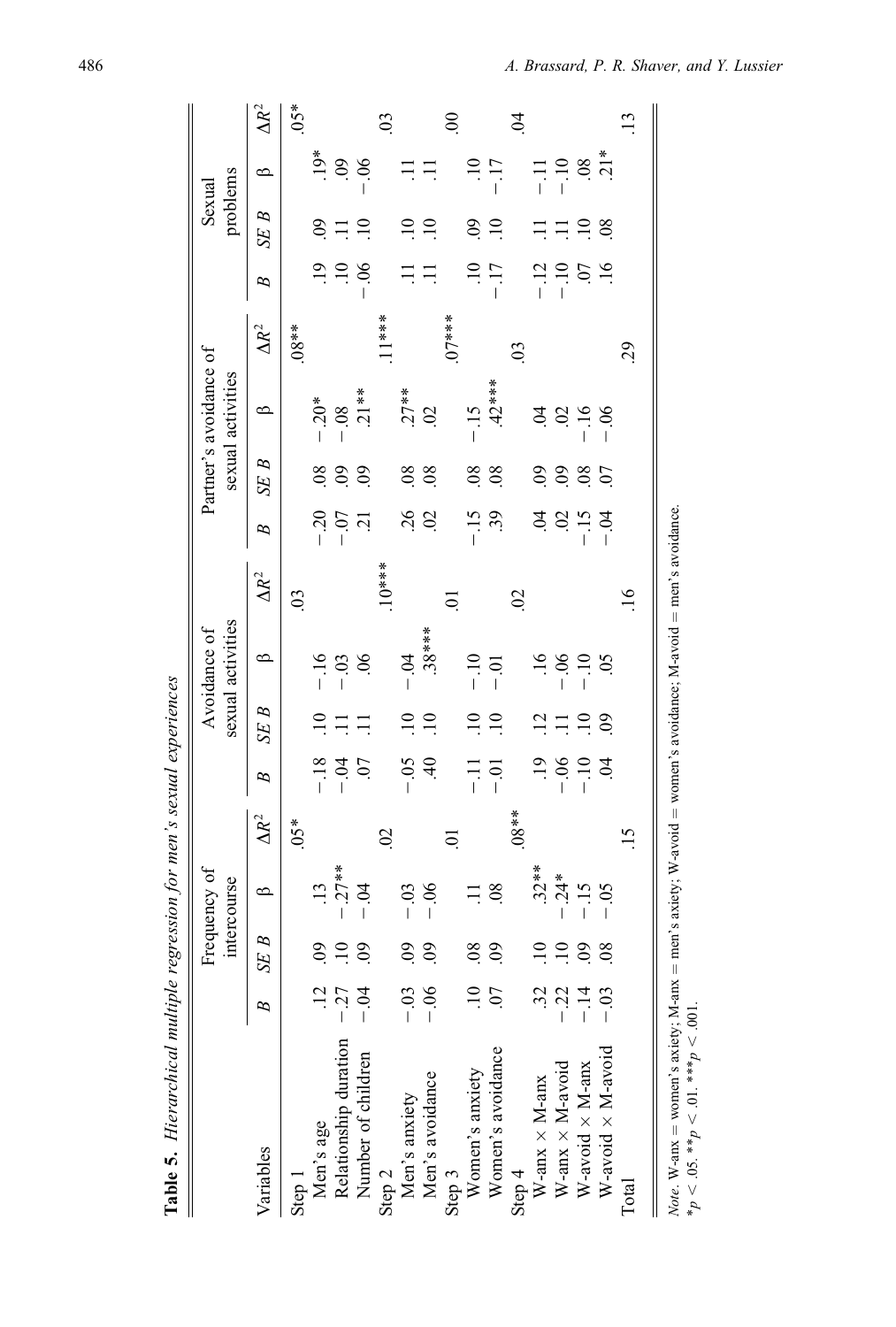|                                                                                                                                                | Frequency of<br>intercourse          |                |                |                 | sexual activities<br>Avoidance of |                     |                |                | Partner's avoidance of<br>sexual activities |                     |                 | problems<br>Sexual |                 |                |
|------------------------------------------------------------------------------------------------------------------------------------------------|--------------------------------------|----------------|----------------|-----------------|-----------------------------------|---------------------|----------------|----------------|---------------------------------------------|---------------------|-----------------|--------------------|-----------------|----------------|
| SEB<br>B<br>Variables                                                                                                                          | $\circ$                              | $\Delta R^2$   | B              | B<br>SE         | $\circ$                           | $\Delta R^2$        | B              | B<br>SE        | $\circ$                                     | $\Delta R^2$        | B               | SE B               | $\circ$         | $\Delta R^2$   |
| Step 1                                                                                                                                         |                                      | $0.5*$         |                |                 |                                   | $\ddot{\mathrm{C}}$ |                |                |                                             | $08**$              |                 |                    |                 | $0.5*$         |
| Men's age                                                                                                                                      | $\ddot{13}$                          |                | $-18$          | $\Xi$           |                                   |                     | $\overline{c}$ |                | $-0.20*$                                    |                     |                 | $\mathfrak{S}$     |                 |                |
| 9.9<br>$-27$<br>Relationship duration                                                                                                          | $.27***$<br>$\overline{\phantom{a}}$ |                | $-0.4$         |                 | $-16$<br>$-03$                    |                     | $\overline{1}$ | 89             | .08                                         |                     | $\frac{2}{10}$  |                    | $^{*}$ .09      |                |
| $^{\circ}$<br>$-0.4$<br>Number of children                                                                                                     | S.<br>$\overline{\phantom{a}}$       |                | $\overline{0}$ |                 | $\widetilde{9}$                   |                     | 0.7            | $\infty$       | $.21**$                                     |                     | 06              | $\Xi$              | $\frac{8}{3}$   |                |
| Step 2                                                                                                                                         |                                      | $\overline{0}$ |                |                 |                                   | $10***$             |                |                |                                             | $.11***$            |                 |                    |                 | $\overline{0}$ |
| $\ddot{\circ}$<br>$-0.3$<br>Men's anxiety                                                                                                      | $-0.3$                               |                | $-0.5$         | $\overline{10}$ | $-0.4$                            |                     | 26             |                | $.27***$                                    |                     |                 | $\Xi$              | $\Xi$           |                |
| $\overline{6}$<br>$-06$<br>Men's avoidance                                                                                                     | $-0.06$                              |                | $\hat{=}$      | $\overline{10}$ | $.38***$                          |                     | 02             | 80,0           | $\overline{0}$                              |                     | $\Xi$           | $\Xi$              | $\Xi$           |                |
| Step 3                                                                                                                                         |                                      | $\overline{0}$ |                |                 |                                   | $\overline{c}$      |                |                |                                             | $.07***$            |                 |                    |                 | $\odot$        |
| $\overline{10}$<br>Women's anxiety                                                                                                             |                                      |                | Ę              | $\Xi$           | $-10$                             |                     | $\frac{5}{15}$ |                | $-15$                                       |                     | $\Xi$           | కి                 | $\Xi$           |                |
| $\frac{8}{2}$<br>07<br>Women's avoidance                                                                                                       | $\frac{8}{2}$                        |                | $\frac{1}{2}$  | $\overline{10}$ | $-0$                              |                     | 39             | $\frac{80}{6}$ | $42***$                                     |                     | $-17$           | $\Xi$              | $-17$           |                |
| Step 4                                                                                                                                         |                                      | $.08**$        |                |                 |                                   | $\mathcal{S}$       |                |                |                                             | $\ddot{\mathrm{c}}$ |                 |                    |                 | $\overline{5}$ |
| $\overline{10}$<br>$\ddot{32}$<br>$\ensuremath{W}\xspace^{-an} \ensuremath{x}\xspace \times \ensuremath{M}\xspace^{-an} \ensuremath{x}\xspace$ | $.32***$                             |                | $\ddot{5}$     | $\overline{c}$  | $\ddot{ }$                        |                     |                |                | $\ddot{q}$                                  |                     |                 |                    |                 |                |
| $\overline{10}$<br>$-22$<br>$W$ -anx $\times$ M-avoid                                                                                          | $24*$<br>I                           |                | $-0.06$        | $\equiv$        | $-0.06$                           |                     | <b>SSS</b>     | 89             | $\mathfrak{S}$                              |                     | $\frac{1}{1}$   | $\equiv$           | $\frac{11}{10}$ |                |
| $\Theta$<br>$-14$<br>$W$ -avoid $\times$ M-anx                                                                                                 | $\ddot{.}$<br>I                      |                | $-10$          | $\overline{10}$ | $-10$                             |                     | I              | 08             | $-16$                                       |                     | 07              | $\Xi$              | $rac{8}{21*}$   |                |
| $80^{\circ}$<br>$\overline{0}$<br>$W$ -avoid $\times$ M-avoid                                                                                  | 50<br>$\overline{1}$                 |                | S.             | $\infty$        | $\widetilde{S}0$ .                |                     | $\ddot{5}$     | $\Omega$       | $-0.6$                                      |                     | $\overline{16}$ | $80^{\circ}$       |                 |                |
| Total                                                                                                                                          |                                      | $\frac{15}{1}$ |                |                 |                                   | $\frac{6}{1}$       |                |                |                                             | 29                  |                 |                    |                 | $\ddot{13}$    |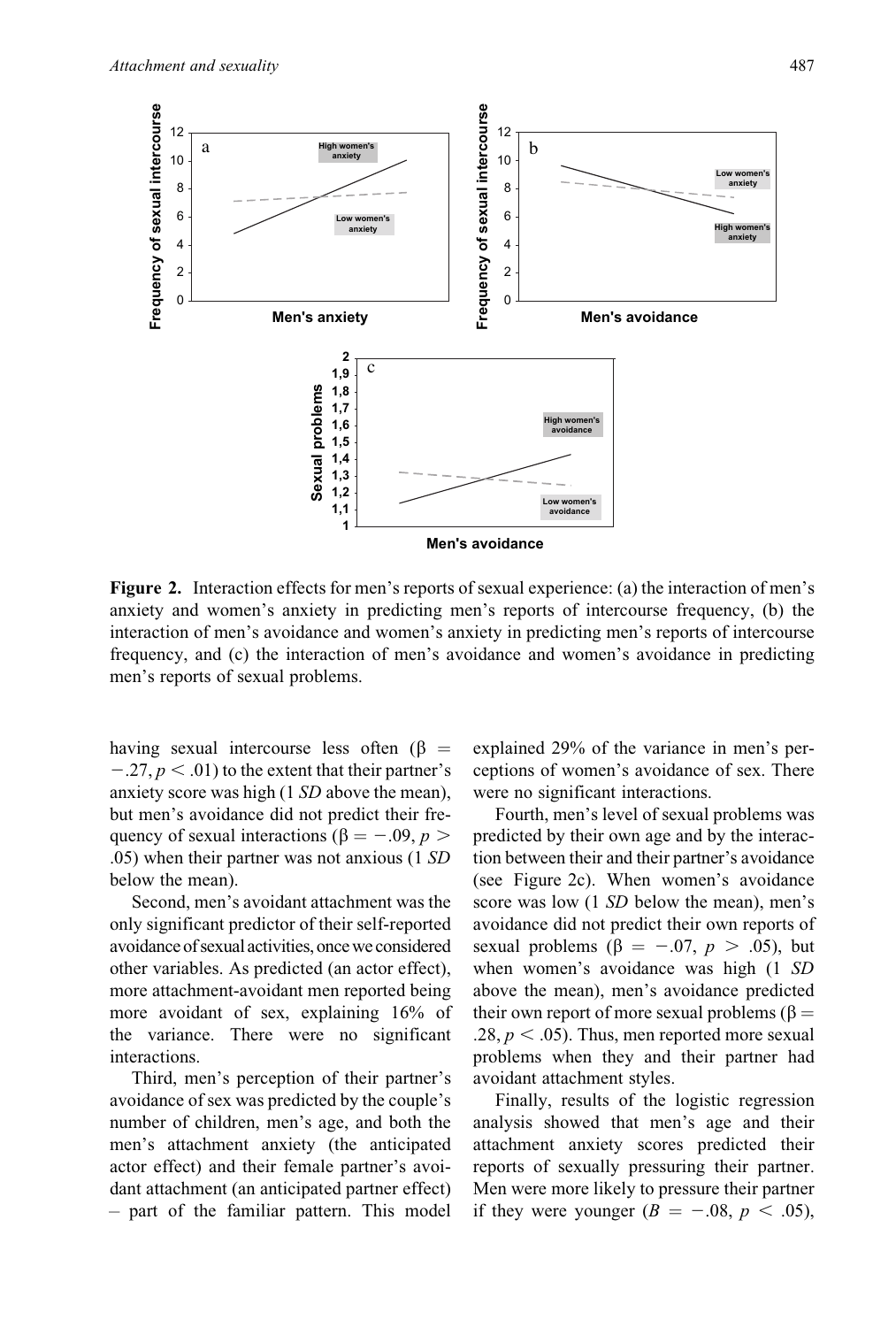

Figure 2. Interaction effects for men's reports of sexual experience: (a) the interaction of men's anxiety and women's anxiety in predicting men's reports of intercourse frequency, (b) the interaction of men's avoidance and women's anxiety in predicting men's reports of intercourse frequency, and (c) the interaction of men's avoidance and women's avoidance in predicting men's reports of sexual problems.

having sexual intercourse less often ( $\beta$  =  $-0.27, p < .01$ ) to the extent that their partner's anxiety score was high (1 SD above the mean), but men's avoidance did not predict their frequency of sexual interactions ( $\beta = -.09, p >$ .05) when their partner was not anxious (1 SD below the mean).

Second, men's avoidant attachment was the only significant predictor of their self-reported avoidance of sexual activities, once we considered other variables. As predicted (an actor effect), more attachment-avoidant men reported being more avoidant of sex, explaining 16% of the variance. There were no significant interactions.

Third, men's perception of their partner's avoidance of sex was predicted by the couple's number of children, men's age, and both the men's attachment anxiety (the anticipated actor effect) and their female partner's avoidant attachment (an anticipated partner effect) – part of the familiar pattern. This model

explained 29% of the variance in men's perceptions of women's avoidance of sex. There were no significant interactions.

Fourth, men's level of sexual problems was predicted by their own age and by the interaction between their and their partner's avoidance (see Figure 2c). When women's avoidance score was low (1 SD below the mean), men's avoidance did not predict their own reports of sexual problems ( $\beta = -.07, p > .05$ ), but when women's avoidance was high (1 SD) above the mean), men's avoidance predicted their own report of more sexual problems ( $\beta$  = .28,  $p < .05$ ). Thus, men reported more sexual problems when they and their partner had avoidant attachment styles.

Finally, results of the logistic regression analysis showed that men's age and their attachment anxiety scores predicted their reports of sexually pressuring their partner. Men were more likely to pressure their partner if they were younger  $(B = -.08, p < .05)$ ,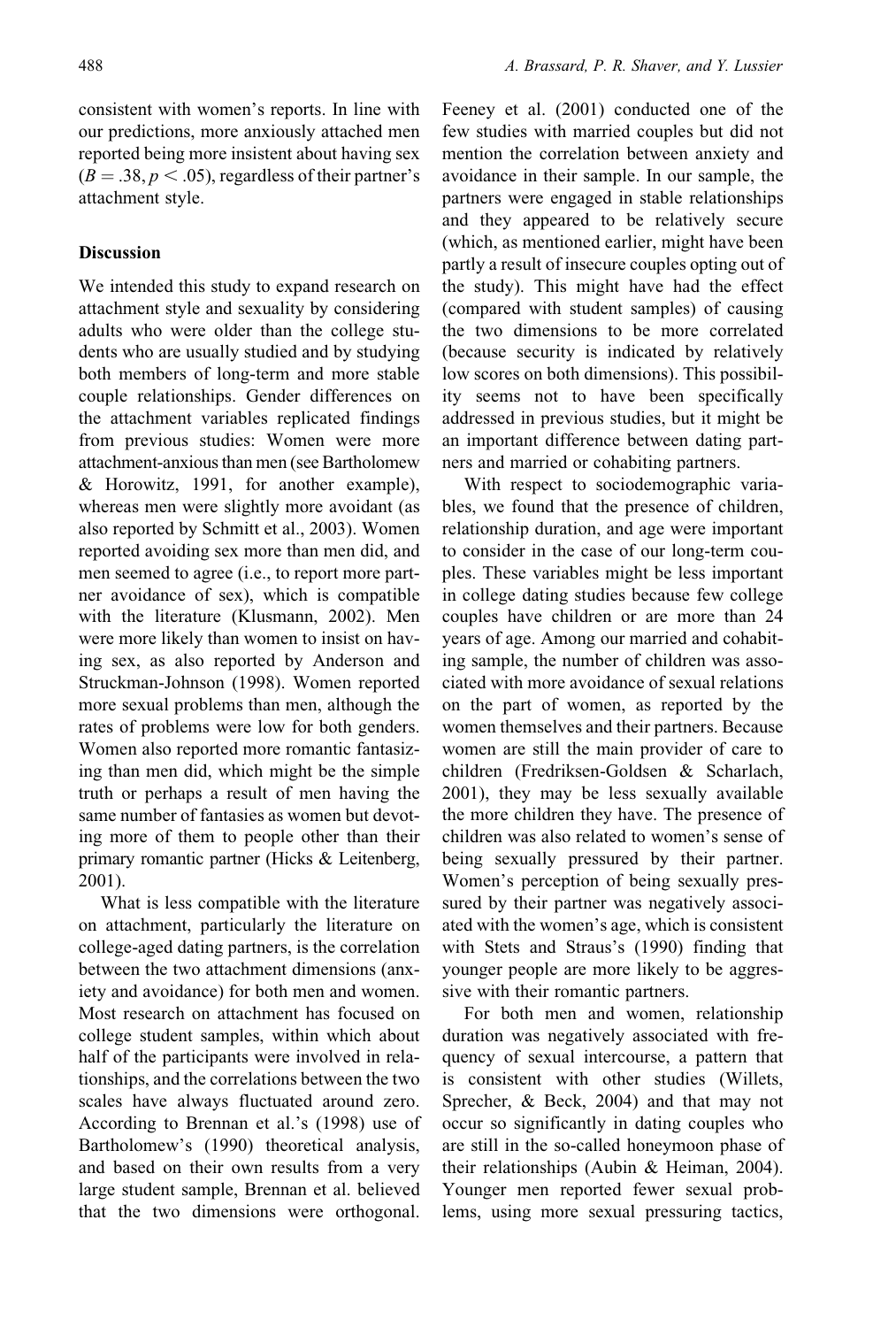consistent with women's reports. In line with our predictions, more anxiously attached men reported being more insistent about having sex  $(B = .38, p < .05)$ , regardless of their partner's attachment style.

# **Discussion**

We intended this study to expand research on attachment style and sexuality by considering adults who were older than the college students who are usually studied and by studying both members of long-term and more stable couple relationships. Gender differences on the attachment variables replicated findings from previous studies: Women were more attachment-anxious than men (see Bartholomew & Horowitz, 1991, for another example), whereas men were slightly more avoidant (as also reported by Schmitt et al., 2003). Women reported avoiding sex more than men did, and men seemed to agree (i.e., to report more partner avoidance of sex), which is compatible with the literature (Klusmann, 2002). Men were more likely than women to insist on having sex, as also reported by Anderson and Struckman-Johnson (1998). Women reported more sexual problems than men, although the rates of problems were low for both genders. Women also reported more romantic fantasizing than men did, which might be the simple truth or perhaps a result of men having the same number of fantasies as women but devoting more of them to people other than their primary romantic partner (Hicks & Leitenberg, 2001).

What is less compatible with the literature on attachment, particularly the literature on college-aged dating partners, is the correlation between the two attachment dimensions (anxiety and avoidance) for both men and women. Most research on attachment has focused on college student samples, within which about half of the participants were involved in relationships, and the correlations between the two scales have always fluctuated around zero. According to Brennan et al.'s (1998) use of Bartholomew's (1990) theoretical analysis, and based on their own results from a very large student sample, Brennan et al. believed that the two dimensions were orthogonal.

Feeney et al. (2001) conducted one of the few studies with married couples but did not mention the correlation between anxiety and avoidance in their sample. In our sample, the partners were engaged in stable relationships and they appeared to be relatively secure (which, as mentioned earlier, might have been partly a result of insecure couples opting out of the study). This might have had the effect (compared with student samples) of causing the two dimensions to be more correlated (because security is indicated by relatively low scores on both dimensions). This possibility seems not to have been specifically addressed in previous studies, but it might be an important difference between dating partners and married or cohabiting partners.

With respect to sociodemographic variables, we found that the presence of children, relationship duration, and age were important to consider in the case of our long-term couples. These variables might be less important in college dating studies because few college couples have children or are more than 24 years of age. Among our married and cohabiting sample, the number of children was associated with more avoidance of sexual relations on the part of women, as reported by the women themselves and their partners. Because women are still the main provider of care to children (Fredriksen-Goldsen & Scharlach, 2001), they may be less sexually available the more children they have. The presence of children was also related to women's sense of being sexually pressured by their partner. Women's perception of being sexually pressured by their partner was negatively associated with the women's age, which is consistent with Stets and Straus's (1990) finding that younger people are more likely to be aggressive with their romantic partners.

For both men and women, relationship duration was negatively associated with frequency of sexual intercourse, a pattern that is consistent with other studies (Willets, Sprecher, & Beck, 2004) and that may not occur so significantly in dating couples who are still in the so-called honeymoon phase of their relationships (Aubin & Heiman, 2004). Younger men reported fewer sexual problems, using more sexual pressuring tactics,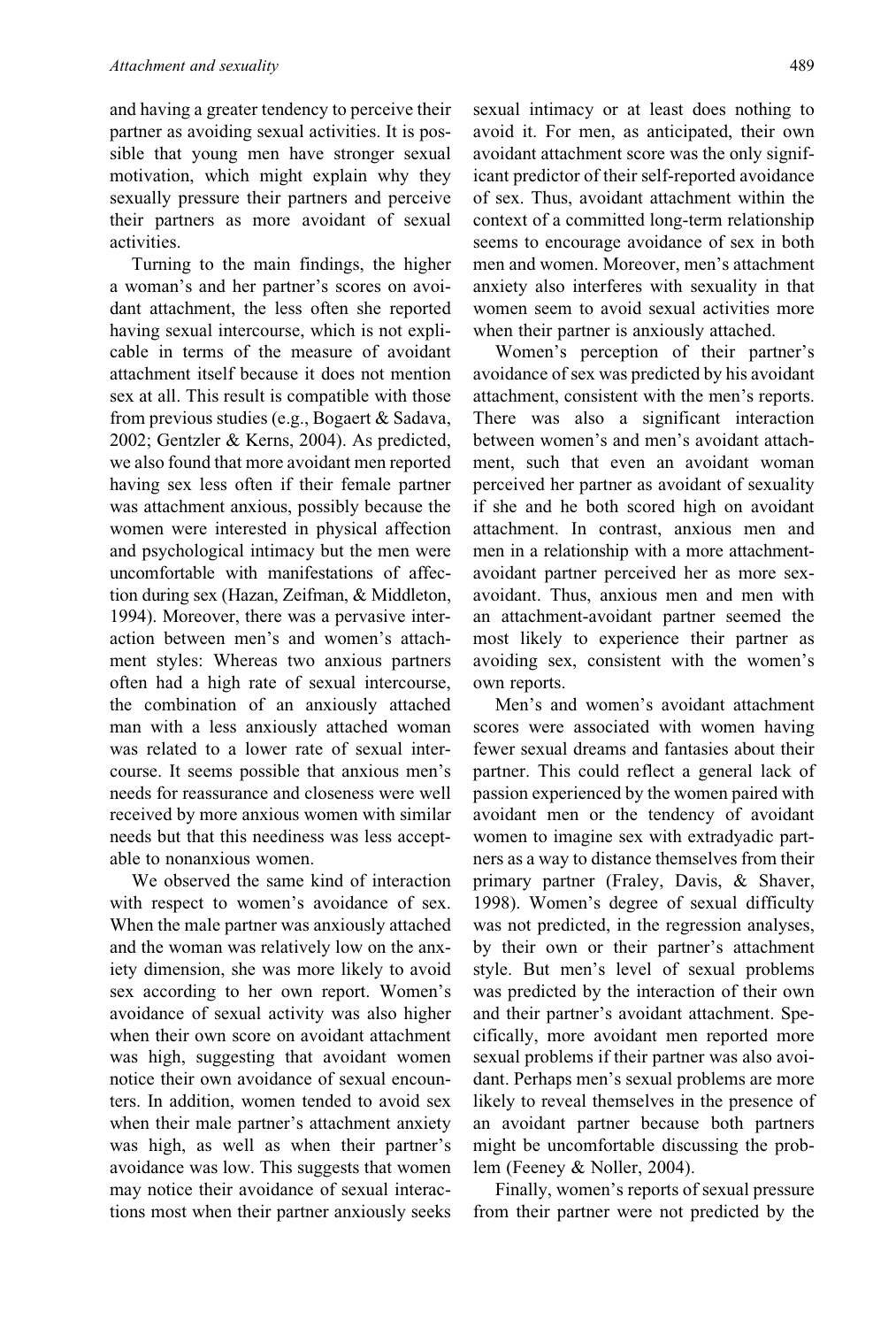and having a greater tendency to perceive their partner as avoiding sexual activities. It is possible that young men have stronger sexual motivation, which might explain why they sexually pressure their partners and perceive their partners as more avoidant of sexual activities.

Turning to the main findings, the higher a woman's and her partner's scores on avoidant attachment, the less often she reported having sexual intercourse, which is not explicable in terms of the measure of avoidant attachment itself because it does not mention sex at all. This result is compatible with those from previous studies (e.g., Bogaert & Sadava, 2002; Gentzler & Kerns, 2004). As predicted, we also found that more avoidant men reported having sex less often if their female partner was attachment anxious, possibly because the women were interested in physical affection and psychological intimacy but the men were uncomfortable with manifestations of affection during sex (Hazan, Zeifman, & Middleton, 1994). Moreover, there was a pervasive interaction between men's and women's attachment styles: Whereas two anxious partners often had a high rate of sexual intercourse, the combination of an anxiously attached man with a less anxiously attached woman was related to a lower rate of sexual intercourse. It seems possible that anxious men's needs for reassurance and closeness were well received by more anxious women with similar needs but that this neediness was less acceptable to nonanxious women.

We observed the same kind of interaction with respect to women's avoidance of sex. When the male partner was anxiously attached and the woman was relatively low on the anxiety dimension, she was more likely to avoid sex according to her own report. Women's avoidance of sexual activity was also higher when their own score on avoidant attachment was high, suggesting that avoidant women notice their own avoidance of sexual encounters. In addition, women tended to avoid sex when their male partner's attachment anxiety was high, as well as when their partner's avoidance was low. This suggests that women may notice their avoidance of sexual interactions most when their partner anxiously seeks

sexual intimacy or at least does nothing to avoid it. For men, as anticipated, their own avoidant attachment score was the only significant predictor of their self-reported avoidance of sex. Thus, avoidant attachment within the context of a committed long-term relationship seems to encourage avoidance of sex in both men and women. Moreover, men's attachment anxiety also interferes with sexuality in that women seem to avoid sexual activities more when their partner is anxiously attached.

Women's perception of their partner's avoidance of sex was predicted by his avoidant attachment, consistent with the men's reports. There was also a significant interaction between women's and men's avoidant attachment, such that even an avoidant woman perceived her partner as avoidant of sexuality if she and he both scored high on avoidant attachment. In contrast, anxious men and men in a relationship with a more attachmentavoidant partner perceived her as more sexavoidant. Thus, anxious men and men with an attachment-avoidant partner seemed the most likely to experience their partner as avoiding sex, consistent with the women's own reports.

Men's and women's avoidant attachment scores were associated with women having fewer sexual dreams and fantasies about their partner. This could reflect a general lack of passion experienced by the women paired with avoidant men or the tendency of avoidant women to imagine sex with extradyadic partners as a way to distance themselves from their primary partner (Fraley, Davis, & Shaver, 1998). Women's degree of sexual difficulty was not predicted, in the regression analyses, by their own or their partner's attachment style. But men's level of sexual problems was predicted by the interaction of their own and their partner's avoidant attachment. Specifically, more avoidant men reported more sexual problems if their partner was also avoidant. Perhaps men's sexual problems are more likely to reveal themselves in the presence of an avoidant partner because both partners might be uncomfortable discussing the problem (Feeney & Noller, 2004).

Finally, women's reports of sexual pressure from their partner were not predicted by the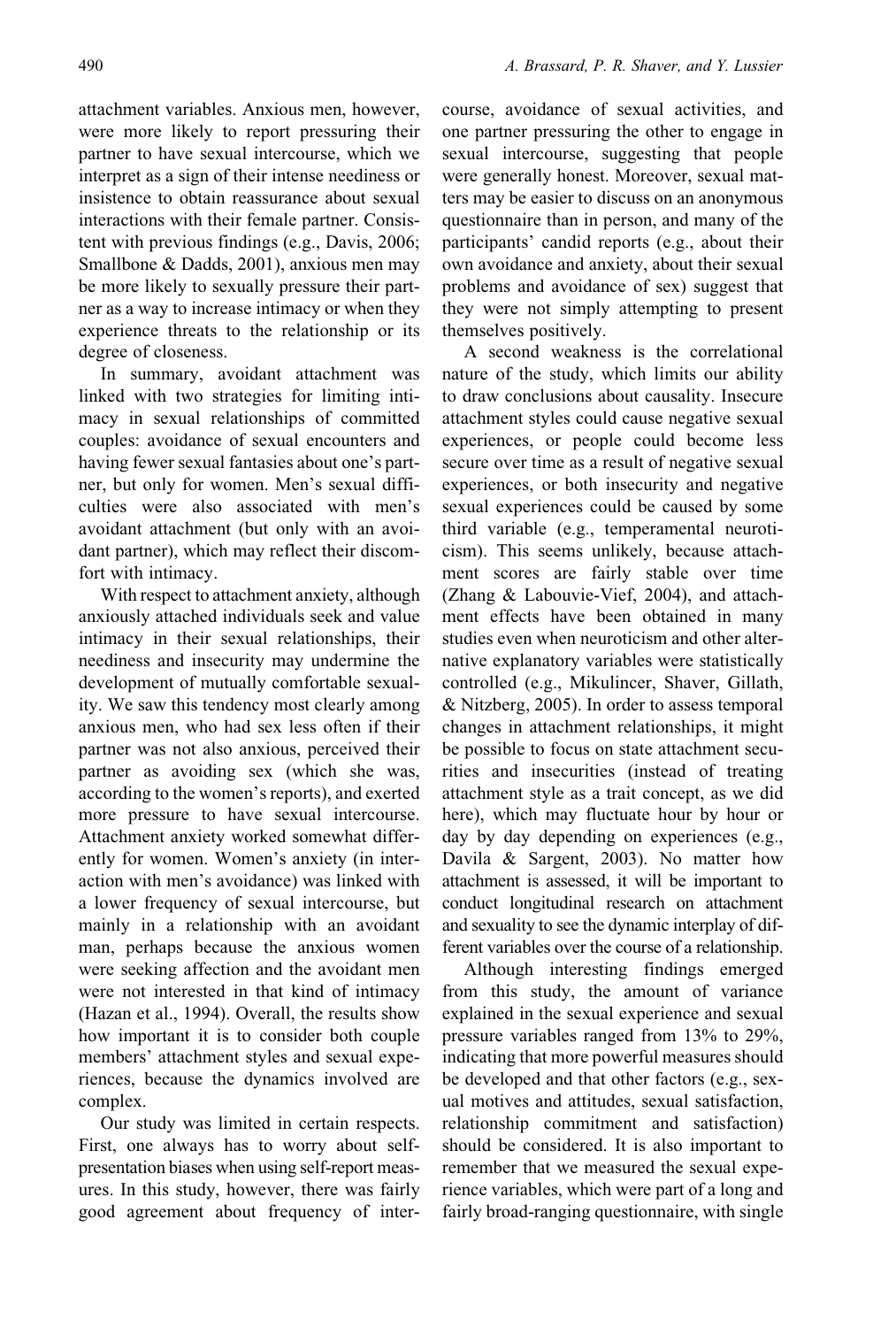attachment variables. Anxious men, however, were more likely to report pressuring their partner to have sexual intercourse, which we interpret as a sign of their intense neediness or insistence to obtain reassurance about sexual interactions with their female partner. Consistent with previous findings (e.g., Davis, 2006; Smallbone & Dadds, 2001), anxious men may be more likely to sexually pressure their partner as a way to increase intimacy or when they experience threats to the relationship or its degree of closeness.

In summary, avoidant attachment was linked with two strategies for limiting intimacy in sexual relationships of committed couples: avoidance of sexual encounters and having fewer sexual fantasies about one's partner, but only for women. Men's sexual difficulties were also associated with men's avoidant attachment (but only with an avoidant partner), which may reflect their discomfort with intimacy.

With respect to attachment anxiety, although anxiously attached individuals seek and value intimacy in their sexual relationships, their neediness and insecurity may undermine the development of mutually comfortable sexuality. We saw this tendency most clearly among anxious men, who had sex less often if their partner was not also anxious, perceived their partner as avoiding sex (which she was, according to the women's reports), and exerted more pressure to have sexual intercourse. Attachment anxiety worked somewhat differently for women. Women's anxiety (in interaction with men's avoidance) was linked with a lower frequency of sexual intercourse, but mainly in a relationship with an avoidant man, perhaps because the anxious women were seeking affection and the avoidant men were not interested in that kind of intimacy (Hazan et al., 1994). Overall, the results show how important it is to consider both couple members' attachment styles and sexual experiences, because the dynamics involved are complex.

Our study was limited in certain respects. First, one always has to worry about selfpresentation biases when using self-report measures. In this study, however, there was fairly good agreement about frequency of intercourse, avoidance of sexual activities, and one partner pressuring the other to engage in sexual intercourse, suggesting that people were generally honest. Moreover, sexual matters may be easier to discuss on an anonymous questionnaire than in person, and many of the participants' candid reports (e.g., about their own avoidance and anxiety, about their sexual problems and avoidance of sex) suggest that they were not simply attempting to present themselves positively.

A second weakness is the correlational nature of the study, which limits our ability to draw conclusions about causality. Insecure attachment styles could cause negative sexual experiences, or people could become less secure over time as a result of negative sexual experiences, or both insecurity and negative sexual experiences could be caused by some third variable (e.g., temperamental neuroticism). This seems unlikely, because attachment scores are fairly stable over time (Zhang & Labouvie-Vief, 2004), and attachment effects have been obtained in many studies even when neuroticism and other alternative explanatory variables were statistically controlled (e.g., Mikulincer, Shaver, Gillath, & Nitzberg, 2005). In order to assess temporal changes in attachment relationships, it might be possible to focus on state attachment securities and insecurities (instead of treating attachment style as a trait concept, as we did here), which may fluctuate hour by hour or day by day depending on experiences (e.g., Davila & Sargent, 2003). No matter how attachment is assessed, it will be important to conduct longitudinal research on attachment and sexuality to see the dynamic interplay of different variables over the course of a relationship.

Although interesting findings emerged from this study, the amount of variance explained in the sexual experience and sexual pressure variables ranged from 13% to 29%, indicating that more powerful measures should be developed and that other factors (e.g., sexual motives and attitudes, sexual satisfaction, relationship commitment and satisfaction) should be considered. It is also important to remember that we measured the sexual experience variables, which were part of a long and fairly broad-ranging questionnaire, with single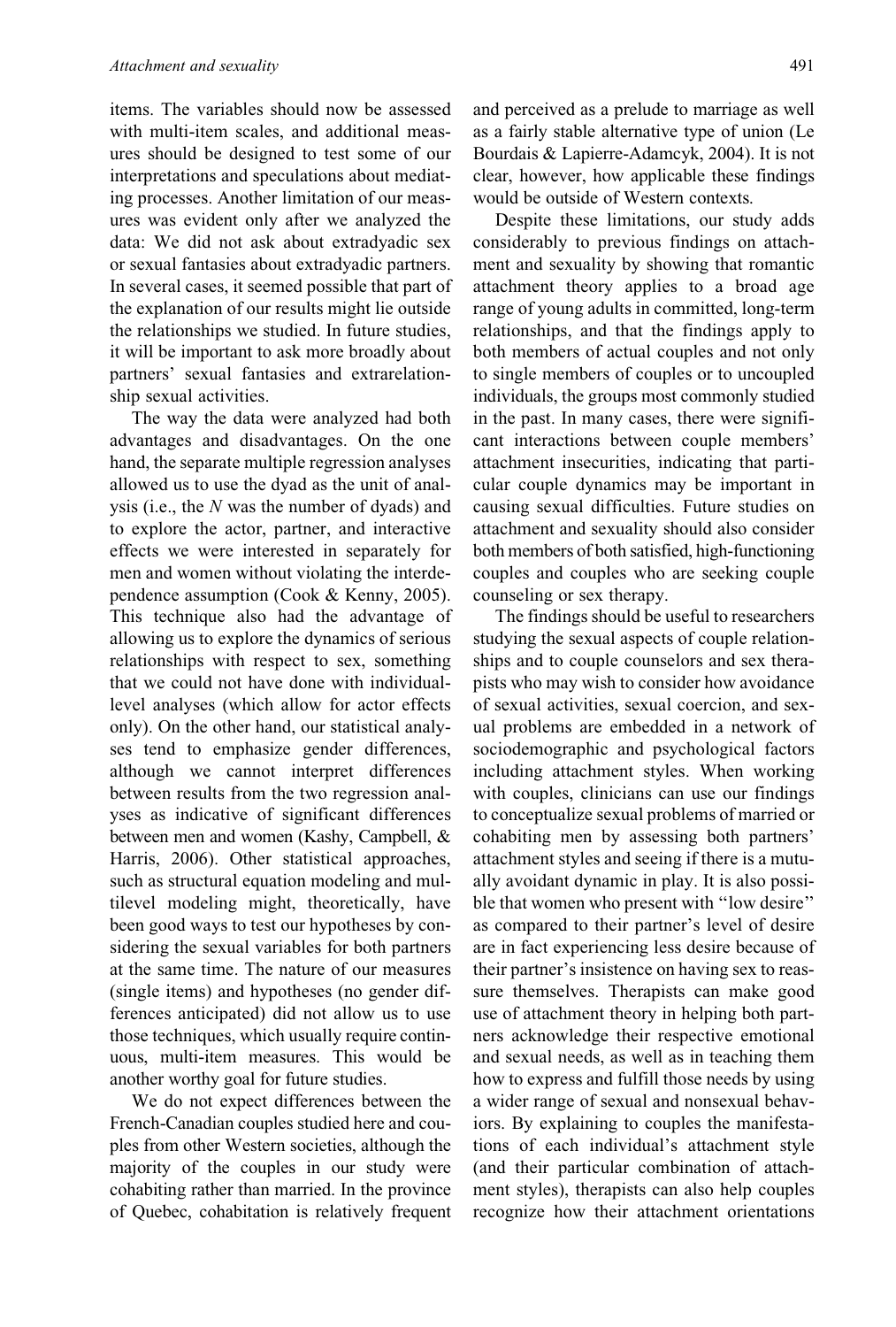items. The variables should now be assessed with multi-item scales, and additional measures should be designed to test some of our interpretations and speculations about mediating processes. Another limitation of our measures was evident only after we analyzed the data: We did not ask about extradyadic sex or sexual fantasies about extradyadic partners. In several cases, it seemed possible that part of the explanation of our results might lie outside the relationships we studied. In future studies, it will be important to ask more broadly about partners' sexual fantasies and extrarelationship sexual activities.

The way the data were analyzed had both advantages and disadvantages. On the one hand, the separate multiple regression analyses allowed us to use the dyad as the unit of analysis (i.e., the N was the number of dyads) and to explore the actor, partner, and interactive effects we were interested in separately for men and women without violating the interdependence assumption (Cook & Kenny, 2005). This technique also had the advantage of allowing us to explore the dynamics of serious relationships with respect to sex, something that we could not have done with individuallevel analyses (which allow for actor effects only). On the other hand, our statistical analyses tend to emphasize gender differences, although we cannot interpret differences between results from the two regression analyses as indicative of significant differences between men and women (Kashy, Campbell, & Harris, 2006). Other statistical approaches, such as structural equation modeling and multilevel modeling might, theoretically, have been good ways to test our hypotheses by considering the sexual variables for both partners at the same time. The nature of our measures (single items) and hypotheses (no gender differences anticipated) did not allow us to use those techniques, which usually require continuous, multi-item measures. This would be another worthy goal for future studies.

We do not expect differences between the French-Canadian couples studied here and couples from other Western societies, although the majority of the couples in our study were cohabiting rather than married. In the province of Quebec, cohabitation is relatively frequent and perceived as a prelude to marriage as well as a fairly stable alternative type of union (Le Bourdais & Lapierre-Adamcyk, 2004). It is not clear, however, how applicable these findings would be outside of Western contexts.

Despite these limitations, our study adds considerably to previous findings on attachment and sexuality by showing that romantic attachment theory applies to a broad age range of young adults in committed, long-term relationships, and that the findings apply to both members of actual couples and not only to single members of couples or to uncoupled individuals, the groups most commonly studied in the past. In many cases, there were significant interactions between couple members' attachment insecurities, indicating that particular couple dynamics may be important in causing sexual difficulties. Future studies on attachment and sexuality should also consider both members of both satisfied, high-functioning couples and couples who are seeking couple counseling or sex therapy.

The findings should be useful to researchers studying the sexual aspects of couple relationships and to couple counselors and sex therapists who may wish to consider how avoidance of sexual activities, sexual coercion, and sexual problems are embedded in a network of sociodemographic and psychological factors including attachment styles. When working with couples, clinicians can use our findings to conceptualize sexual problems of married or cohabiting men by assessing both partners' attachment styles and seeing if there is a mutually avoidant dynamic in play. It is also possible that women who present with ''low desire'' as compared to their partner's level of desire are in fact experiencing less desire because of their partner's insistence on having sex to reassure themselves. Therapists can make good use of attachment theory in helping both partners acknowledge their respective emotional and sexual needs, as well as in teaching them how to express and fulfill those needs by using a wider range of sexual and nonsexual behaviors. By explaining to couples the manifestations of each individual's attachment style (and their particular combination of attachment styles), therapists can also help couples recognize how their attachment orientations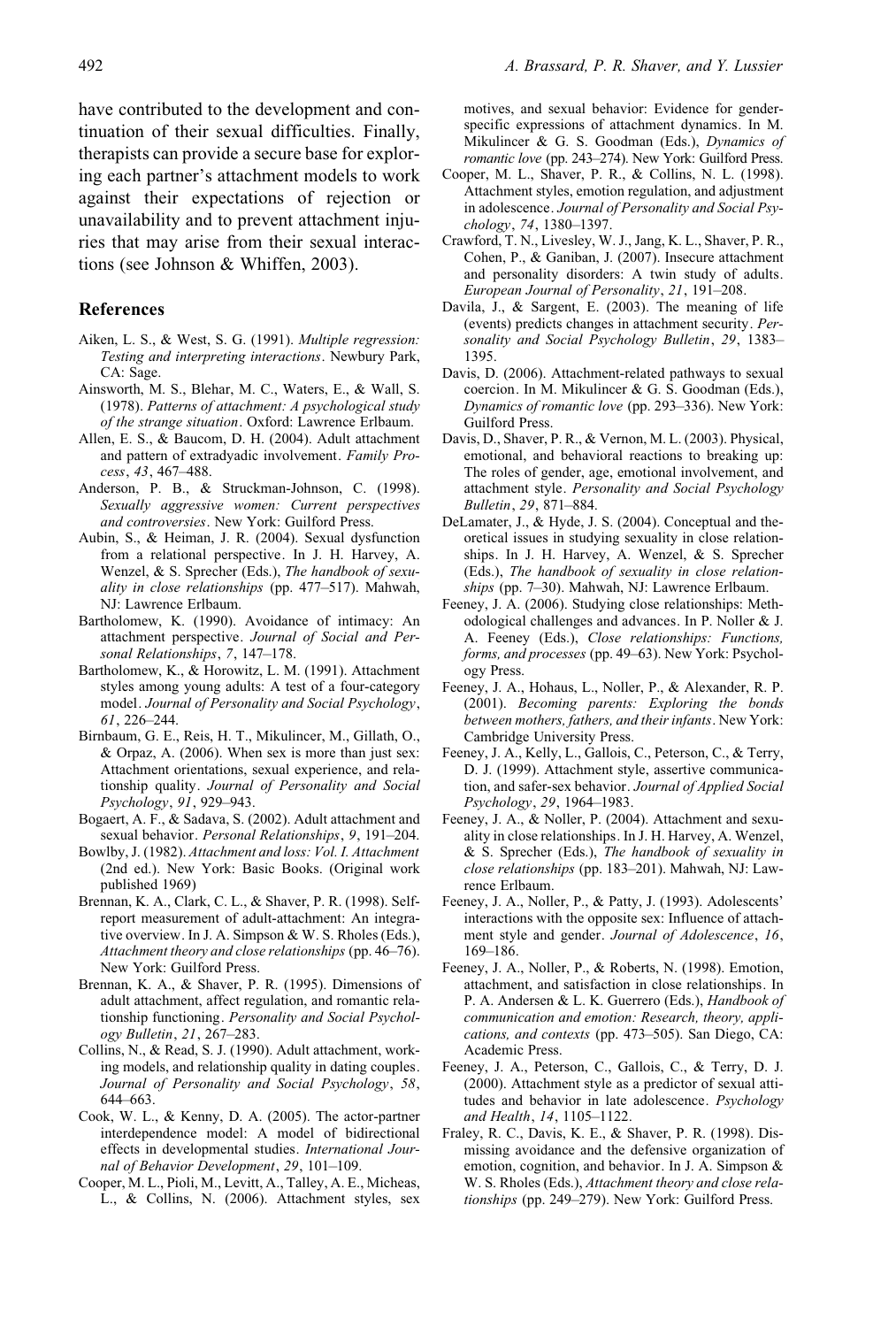have contributed to the development and continuation of their sexual difficulties. Finally, therapists can provide a secure base for exploring each partner's attachment models to work against their expectations of rejection or unavailability and to prevent attachment injuries that may arise from their sexual interactions (see Johnson & Whiffen, 2003).

## References

- Aiken, L. S., & West, S. G. (1991). Multiple regression: Testing and interpreting interactions. Newbury Park, CA: Sage.
- Ainsworth, M. S., Blehar, M. C., Waters, E., & Wall, S. (1978). Patterns of attachment: A psychological study of the strange situation. Oxford: Lawrence Erlbaum.
- Allen, E. S., & Baucom, D. H. (2004). Adult attachment and pattern of extradyadic involvement. Family Process, 43, 467–488.
- Anderson, P. B., & Struckman-Johnson, C. (1998). Sexually aggressive women: Current perspectives and controversies. New York: Guilford Press.
- Aubin, S., & Heiman, J. R. (2004). Sexual dysfunction from a relational perspective. In J. H. Harvey, A. Wenzel, & S. Sprecher (Eds.), The handbook of sexuality in close relationships (pp. 477–517). Mahwah, NJ: Lawrence Erlbaum.
- Bartholomew, K. (1990). Avoidance of intimacy: An attachment perspective. Journal of Social and Personal Relationships, 7, 147–178.
- Bartholomew, K., & Horowitz, L. M. (1991). Attachment styles among young adults: A test of a four-category model. Journal of Personality and Social Psychology, 61, 226–244.
- Birnbaum, G. E., Reis, H. T., Mikulincer, M., Gillath, O., & Orpaz, A. (2006). When sex is more than just sex: Attachment orientations, sexual experience, and relationship quality. Journal of Personality and Social Psychology, 91, 929–943.
- Bogaert, A. F., & Sadava, S. (2002). Adult attachment and sexual behavior. Personal Relationships, 9, 191–204.
- Bowlby, J. (1982). Attachment and loss: Vol. I. Attachment (2nd ed.). New York: Basic Books. (Original work published 1969)
- Brennan, K. A., Clark, C. L., & Shaver, P. R. (1998). Selfreport measurement of adult-attachment: An integrative overview. In J. A. Simpson & W. S. Rholes (Eds.), Attachment theory and close relationships (pp. 46–76). New York: Guilford Press.
- Brennan, K. A., & Shaver, P. R. (1995). Dimensions of adult attachment, affect regulation, and romantic relationship functioning. Personality and Social Psychology Bulletin, 21, 267–283.
- Collins, N., & Read, S. J. (1990). Adult attachment, working models, and relationship quality in dating couples. Journal of Personality and Social Psychology, 58, 644–663.
- Cook, W. L., & Kenny, D. A. (2005). The actor-partner interdependence model: A model of bidirectional effects in developmental studies. International Journal of Behavior Development, 29, 101–109.
- Cooper, M. L., Pioli, M., Levitt, A., Talley, A. E., Micheas, L., & Collins, N. (2006). Attachment styles, sex

motives, and sexual behavior: Evidence for genderspecific expressions of attachment dynamics. In M. Mikulincer & G. S. Goodman (Eds.), Dynamics of romantic love (pp. 243–274). New York: Guilford Press.

- Cooper, M. L., Shaver, P. R., & Collins, N. L. (1998). Attachment styles, emotion regulation, and adjustment in adolescence. Journal of Personality and Social Psychology, 74, 1380–1397.
- Crawford, T. N., Livesley, W. J., Jang, K. L., Shaver, P. R., Cohen, P., & Ganiban, J. (2007). Insecure attachment and personality disorders: A twin study of adults. European Journal of Personality, 21, 191–208.
- Davila, J., & Sargent, E. (2003). The meaning of life (events) predicts changes in attachment security. Personality and Social Psychology Bulletin, 29, 1383– 1395.
- Davis, D. (2006). Attachment-related pathways to sexual coercion. In M. Mikulincer & G. S. Goodman (Eds.), Dynamics of romantic love (pp. 293–336). New York: Guilford Press.
- Davis, D., Shaver, P. R., & Vernon, M. L. (2003). Physical, emotional, and behavioral reactions to breaking up: The roles of gender, age, emotional involvement, and attachment style. Personality and Social Psychology Bulletin, 29, 871–884.
- DeLamater, J., & Hyde, J. S. (2004). Conceptual and theoretical issues in studying sexuality in close relationships. In J. H. Harvey, A. Wenzel, & S. Sprecher (Eds.), The handbook of sexuality in close relationships (pp. 7–30). Mahwah, NJ: Lawrence Erlbaum.
- Feeney, J. A. (2006). Studying close relationships: Methodological challenges and advances. In P. Noller & J. A. Feeney (Eds.), Close relationships: Functions, forms, and processes (pp. 49-63). New York: Psychology Press.
- Feeney, J. A., Hohaus, L., Noller, P., & Alexander, R. P. (2001). Becoming parents: Exploring the bonds between mothers, fathers, and their infants. New York: Cambridge University Press.
- Feeney, J. A., Kelly, L., Gallois, C., Peterson, C., & Terry, D. J. (1999). Attachment style, assertive communication, and safer-sex behavior. Journal of Applied Social Psychology, 29, 1964–1983.
- Feeney, J. A., & Noller, P. (2004). Attachment and sexuality in close relationships. In J. H. Harvey, A. Wenzel, & S. Sprecher (Eds.), The handbook of sexuality in close relationships (pp. 183–201). Mahwah, NJ: Lawrence Erlbaum.
- Feeney, J. A., Noller, P., & Patty, J. (1993). Adolescents' interactions with the opposite sex: Influence of attachment style and gender. Journal of Adolescence, 16, 169–186.
- Feeney, J. A., Noller, P., & Roberts, N. (1998). Emotion, attachment, and satisfaction in close relationships. In P. A. Andersen & L. K. Guerrero (Eds.), Handbook of communication and emotion: Research, theory, applications, and contexts (pp. 473–505). San Diego, CA: Academic Press.
- Feeney, J. A., Peterson, C., Gallois, C., & Terry, D. J. (2000). Attachment style as a predictor of sexual attitudes and behavior in late adolescence. Psychology and Health, 14, 1105–1122.
- Fraley, R. C., Davis, K. E., & Shaver, P. R. (1998). Dismissing avoidance and the defensive organization of emotion, cognition, and behavior. In J. A. Simpson & W. S. Rholes (Eds.), Attachment theory and close relationships (pp. 249–279). New York: Guilford Press.